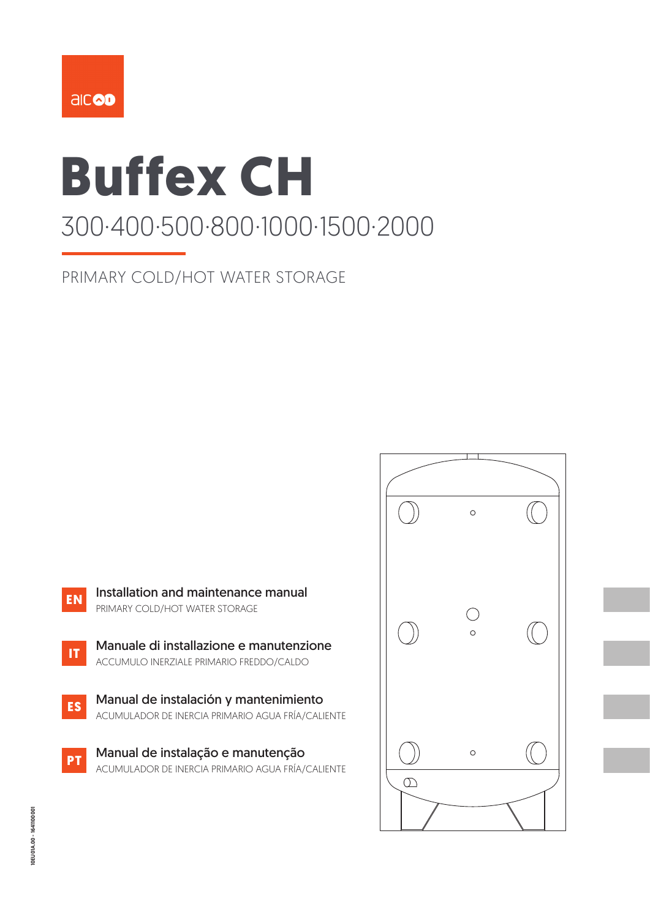

# **Buffex CH** 300·400·500·800·1000·1500·2000

PRIMARY COLD/HOT WATER STORAGE

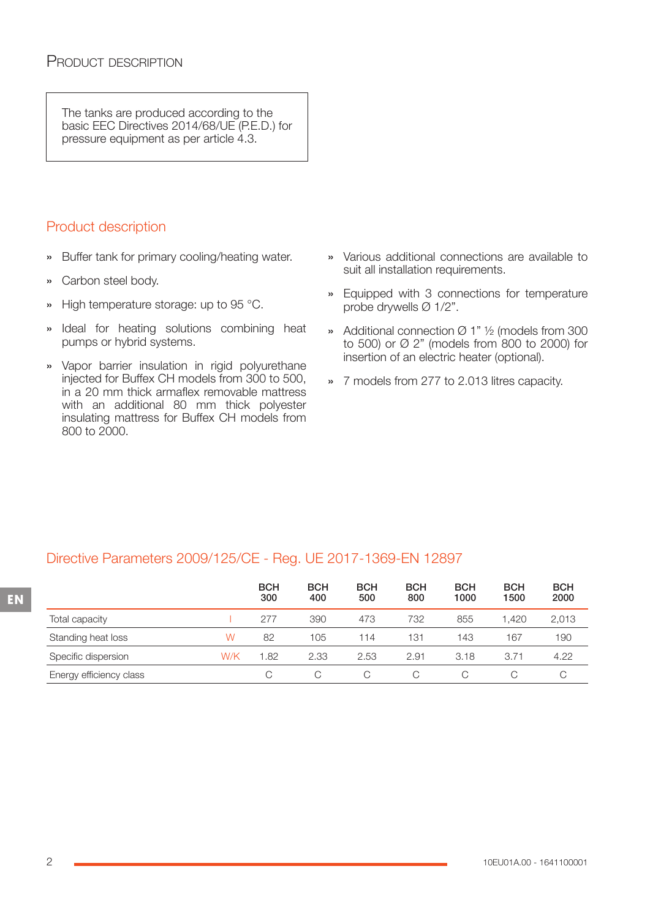The tanks are produced according to the basic EEC Directives 2014/68/UE (P.E.D.) for pressure equipment as per article 4.3.

# Product description

- » Buffer tank for primary cooling/heating water.
- » Carbon steel body.
- » High temperature storage: up to 95 °C.
- » Ideal for heating solutions combining heat pumps or hybrid systems.
- » Vapor barrier insulation in rigid polyurethane injected for Buffex CH models from 300 to 500, in a 20 mm thick armaflex removable mattress with an additional 80 mm thick polyester insulating mattress for Buffex CH models from 800 to 2000.
- » Various additional connections are available to suit all installation requirements.
- » Equipped with 3 connections for temperature probe drywells Ø 1/2".
- » Additional connection Ø 1" ½ (models from 300 to 500) or Ø 2" (models from 800 to 2000) for insertion of an electric heater (optional).
- » 7 models from 277 to 2.013 litres capacity.

## Directive Parameters 2009/125/CE - Reg. UE 2017-1369-EN 12897

|                         |     | <b>BCH</b><br>300 | <b>BCH</b><br>400 | <b>BCH</b><br>500 | <b>BCH</b><br>800 | <b>BCH</b><br>1000 | <b>BCH</b><br>1500 | <b>BCH</b><br>2000 |
|-------------------------|-----|-------------------|-------------------|-------------------|-------------------|--------------------|--------------------|--------------------|
| Total capacity          |     | 277               | 390               | 473               | 732               | 855                | .420               | 2,013              |
| Standing heat loss      | W   | 82                | 105               | 114               | 131               | 143                | 167                | 190                |
| Specific dispersion     | W/K | 1.82              | 2.33              | 2.53              | 2.91              | 3.18               | 3.71               | 4.22               |
| Energy efficiency class |     | C.                |                   |                   |                   | C                  |                    |                    |

**EN**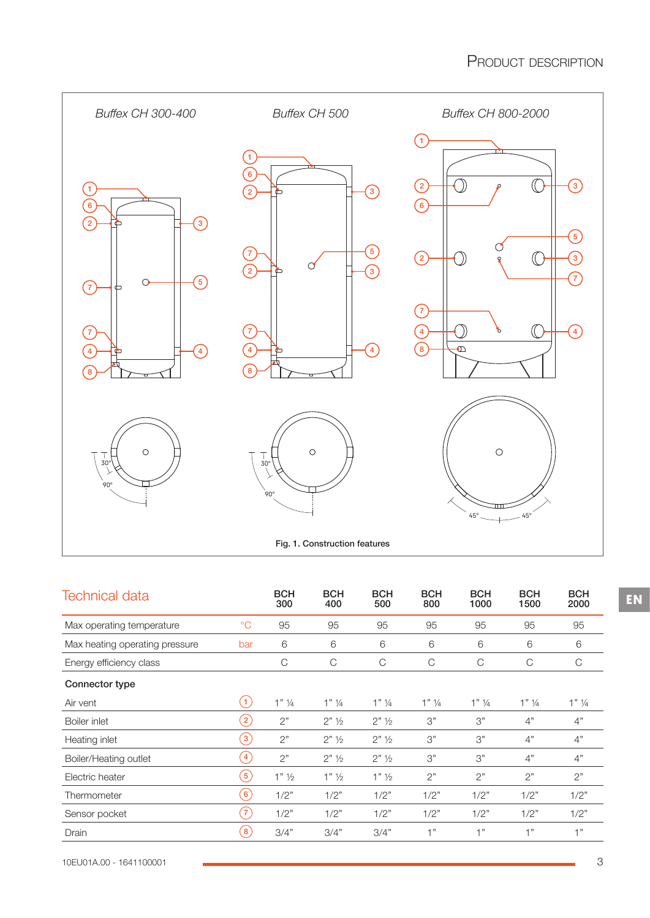

| <b>BCH</b> | BCH | <b>BCH</b> | <b>BCH</b> |  |
|------------|-----|------------|------------|--|

| <b>Technical data</b>          |                        | <b>BCH</b><br>300  | <b>BCH</b><br>400    | <b>BCH</b><br>500    | <b>BCH</b><br>800  | <b>BCH</b><br>1000 | <b>BCH</b><br>1500 | <b>BCH</b><br>2000 |
|--------------------------------|------------------------|--------------------|----------------------|----------------------|--------------------|--------------------|--------------------|--------------------|
| Max operating temperature      | $\rm ^{\circ}C$        | 95                 | 95                   | 95                   | 95                 | 95                 | 95                 | 95                 |
| Max heating operating pressure | bar                    | 6                  | 6                    | 6                    | 6                  | 6                  | 6                  | 6                  |
| Energy efficiency class        |                        | C                  | C                    | C                    | C                  | C                  | C                  | C                  |
| Connector type                 |                        |                    |                      |                      |                    |                    |                    |                    |
| Air vent                       | (1)                    | $1"$ $\frac{1}{4}$ | $1"$ $\frac{1}{4}$   | $1"$ $\frac{1}{4}$   | $1"$ $\frac{1}{4}$ | $1"$ $\frac{1}{4}$ | $1"$ $\frac{1}{4}$ | $1"$ ¼             |
| Boiler inlet                   | $\left 2\right\rangle$ | 2"                 | $2"$ 1/ <sub>2</sub> | $2"$ 1/ <sub>2</sub> | 3"                 | 3"                 | 4"                 | 4"                 |
| Heating inlet                  | $\left(3\right)$       | 2"                 | $2"$ 1/ <sub>2</sub> | $2"$ 1/ <sub>2</sub> | 3"                 | 3"                 | 4"                 | 4"                 |
| Boiler/Heating outlet          | $\overline{4}$         | 2"                 | $2"$ 1/ <sub>2</sub> | $2"$ 1/ <sub>2</sub> | 3"                 | 3"                 | 4"                 | 4"                 |
| Electric heater                | (5)                    | $1"$ $\frac{1}{2}$ | $1"$ ½               | $1"$ ½               | 2"                 | 2"                 | 2"                 | 2"                 |
| Thermometer                    | $\left( 6\right)$      | 1/2"               | 1/2"                 | 1/2"                 | 1/2"               | 1/2"               | 1/2"               | 1/2"               |
| Sensor pocket                  | $\left(7\right)$       | 1/2"               | 1/2"                 | 1/2"                 | 1/2"               | 1/2"               | 1/2"               | 1/2"               |
| Drain                          | $\left[ 8 \right]$     | 3/4"               | 3/4"                 | 3/4"                 | 1"                 | 1"                 | 1"                 | 1"                 |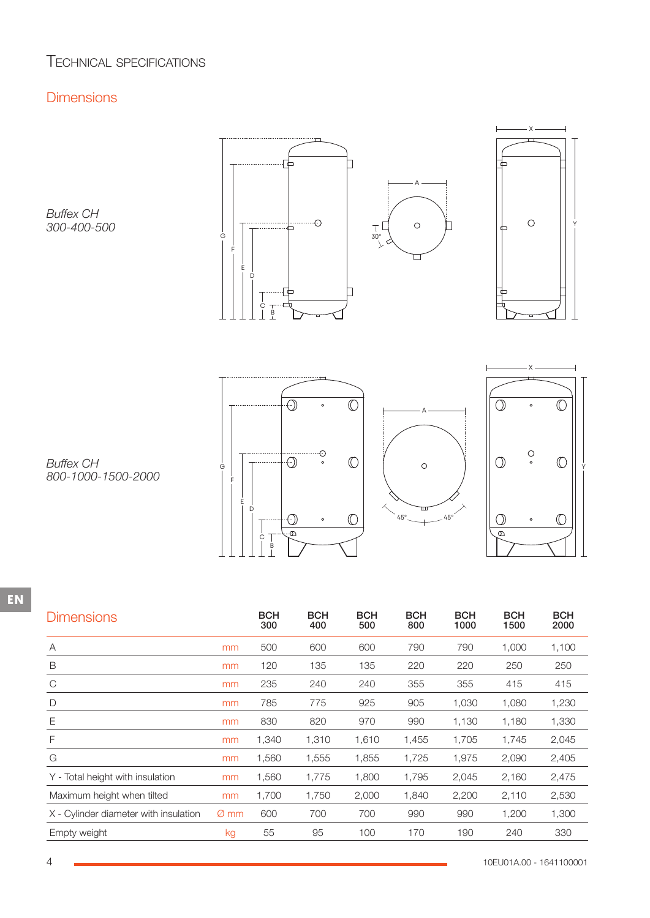# TECHNICAL SPECIFICATIONS

## **Dimensions**

*Buffex CH 300-400-500*





. . . . . . . . . <u>. . .</u>  $\overline{\mathbb{O}}$  $\bigodot$ G Y F E D  $\circledcirc$ ⊙  $\circ$  $\overline{\Theta}$  $\epsilon$  $\begin{array}{c} \n\downarrow \\
B \\
\downarrow\n\end{array}$ 





*Buffex CH 800-1000-1500-2000*

| <b>Dimensions</b>                     |                  | <b>BCH</b><br>300 | <b>BCH</b><br>400 | <b>BCH</b><br>500 | <b>BCH</b><br>800 | <b>BCH</b><br>1000 | <b>BCH</b><br>1500 | <b>BCH</b><br>2000 |
|---------------------------------------|------------------|-------------------|-------------------|-------------------|-------------------|--------------------|--------------------|--------------------|
| Α                                     | mm               | 500               | 600               | 600               | 790               | 790                | 1,000              | 1,100              |
| B                                     | mm               | 120               | 135               | 135               | 220               | 220                | 250                | 250                |
| $\mathcal{C}$                         | mm               | 235               | 240               | 240               | 355               | 355                | 415                | 415                |
| D                                     | mm               | 785               | 775               | 925               | 905               | 1,030              | 1,080              | 1,230              |
| Ε                                     | mm               | 830               | 820               | 970               | 990               | 1,130              | 1,180              | 1,330              |
| F                                     | mm               | 1,340             | 1,310             | 1,610             | 1,455             | 1,705              | 1,745              | 2,045              |
| G                                     | mm               | 1,560             | 1,555             | 1,855             | 1,725             | 1,975              | 2,090              | 2,405              |
| Y - Total height with insulation      | mm               | 1,560             | 1,775             | 1,800             | 1,795             | 2,045              | 2,160              | 2,475              |
| Maximum height when tilted            | mm               | 1,700             | 1,750             | 2,000             | 1,840             | 2,200              | 2,110              | 2,530              |
| X - Cylinder diameter with insulation | $\varnothing$ mm | 600               | 700               | 700               | 990               | 990                | 1,200              | 1,300              |
| Empty weight                          | kg               | 55                | 95                | 100               | 170               | 190                | 240                | 330                |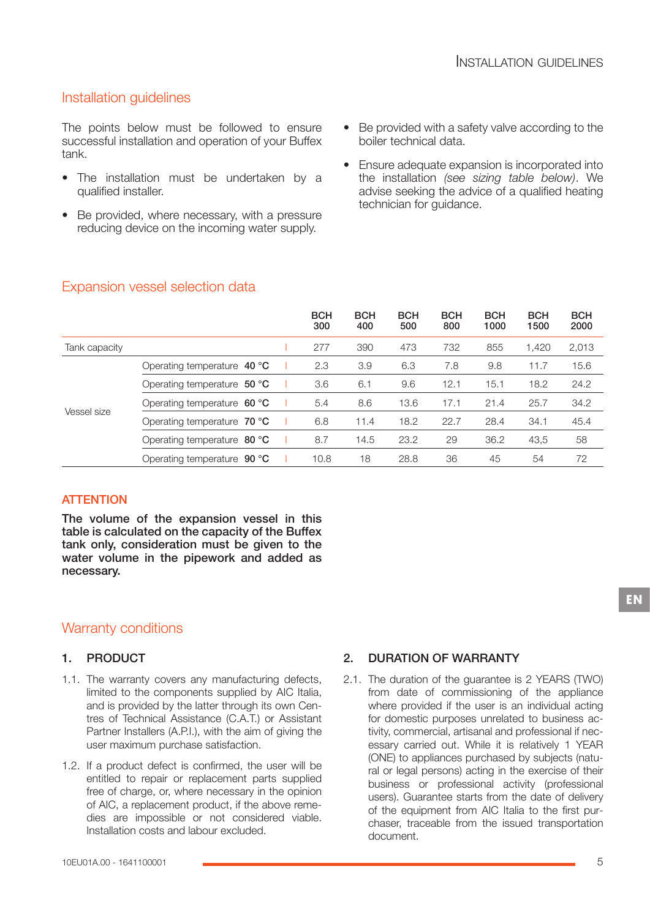# Installation guidelines

The points below must be followed to ensure successful installation and operation of your Buffex tank.

- The installation must be undertaken by a qualified installer.
- Be provided, where necessary, with a pressure reducing device on the incoming water supply.
- Be provided with a safety valve according to the boiler technical data.
- Ensure adequate expansion is incorporated into the installation *(see sizing table below)*. We advise seeking the advice of a qualified heating technician for guidance.

|               |                                      | <b>BCH</b><br>300 | <b>BCH</b><br>400 | <b>BCH</b><br>500 | <b>BCH</b><br>800 | <b>BCH</b><br>1000 | <b>BCH</b><br>1500 | <b>BCH</b><br>2000 |
|---------------|--------------------------------------|-------------------|-------------------|-------------------|-------------------|--------------------|--------------------|--------------------|
| Tank capacity |                                      | 277               | 390               | 473               | 732               | 855                | 1.420              | 2,013              |
|               | Operating temperature 40 °C          | 2.3               | 3.9               | 6.3               | 7.8               | 9.8                | 11.7               | 15.6               |
|               | Operating temperature 50 °C          | 3.6               | 6.1               | 9.6               | 12.1              | 15.1               | 18.2               | 24.2               |
|               | Operating temperature $60^{\circ}C$  | 5.4               | 8.6               | 13.6              | 17.1              | 21.4               | 25.7               | 34.2               |
| Vessel size   | Operating temperature $70 °C$        | 6.8               | 11.4              | 18.2              | 22.7              | 28.4               | 34.1               | 45.4               |
|               | Operating temperature $80^{\circ}$ C | 8.7               | 14.5              | 23.2              | 29                | 36.2               | 43,5               | 58                 |
|               | Operating temperature 90 °C          | 10.8              | 18                | 28.8              | 36                | 45                 | 54                 | 72                 |

## Expansion vessel selection data

## **ATTENTION**

The volume of the expansion vessel in this table is calculated on the capacity of the Buffex tank only, consideration must be given to the water volume in the pipework and added as necessary.

## Warranty conditions

## 1. PRODUCT

- 1.1. The warranty covers any manufacturing defects, limited to the components supplied by AIC Italia, and is provided by the latter through its own Cen‐ tres of Technical Assistance (C.A.T.) or Assistant Partner Installers (A.P.I.), with the aim of giving the user maximum purchase satisfaction.
- 1.2. If a product defect is confirmed, the user will be entitled to repair or replacement parts supplied free of charge, or, where necessary in the opinion of AIC, a replacement product, if the above reme‐ dies are impossible or not considered viable. Installation costs and labour excluded.

## 2. DURATION OF WARRANTY

2.1. The duration of the guarantee is 2 YEARS (TWO) from date of commissioning of the appliance where provided if the user is an individual acting for domestic purposes unrelated to business activity, commercial, artisanal and professional if nec‐ essary carried out. While it is relatively 1 YEAR (ONE) to appliances purchased by subjects (natu‐ ral or legal persons) acting in the exercise of their business or professional activity (professional users). Guarantee starts from the date of delivery of the equipment from AIC Italia to the first pur‐ chaser, traceable from the issued transportation document.

**EN**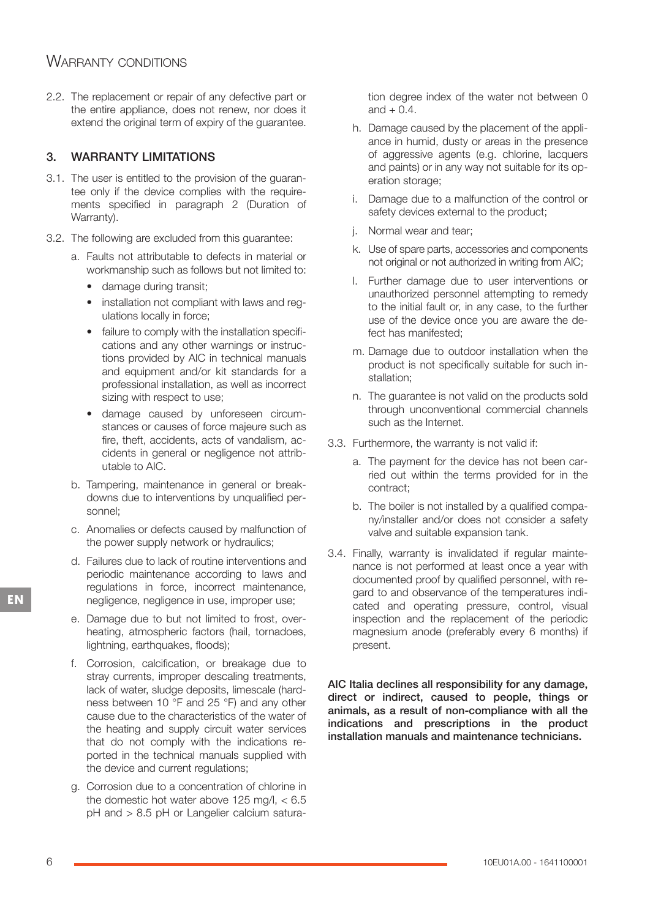# WARRANTY CONDITIONS

2.2. The replacement or repair of any defective part or the entire appliance, does not renew, nor does it extend the original term of expiry of the guarantee.

## 3. WARRANTY LIMITATIONS

- 3.1. The user is entitled to the provision of the guaran‐ tee only if the device complies with the require‐ ments specified in paragraph 2 (Duration of Warranty).
- 3.2. The following are excluded from this guarantee:
	- a. Faults not attributable to defects in material or workmanship such as follows but not limited to:
		- damage during transit;
		- installation not compliant with laws and reg‐ ulations locally in force;
		- failure to comply with the installation specifications and any other warnings or instruc‐ tions provided by AIC in technical manuals and equipment and/or kit standards for a professional installation, as well as incorrect sizing with respect to use;
		- damage caused by unforeseen circumstances or causes of force majeure such as fire, theft, accidents, acts of vandalism, accidents in general or negligence not attrib‐ utable to AIC.
	- b. Tampering, maintenance in general or break‐ downs due to interventions by unqualified per‐ sonnel;
	- c. Anomalies or defects caused by malfunction of the power supply network or hydraulics;
	- d. Failures due to lack of routine interventions and periodic maintenance according to laws and regulations in force, incorrect maintenance, negligence, negligence in use, improper use;
	- e. Damage due to but not limited to frost, over‐ heating, atmospheric factors (hail, tornadoes, lightning, earthquakes, floods);
	- f. Corrosion, calcification, or breakage due to stray currents, improper descaling treatments, lack of water, sludge deposits, limescale (hard‐ ness between 10 °F and 25 °F) and any other cause due to the characteristics of the water of the heating and supply circuit water services that do not comply with the indications re‐ ported in the technical manuals supplied with the device and current regulations;
	- g. Corrosion due to a concentration of chlorine in the domestic hot water above 125 mg/l,  $< 6.5$ pH and > 8.5 pH or Langelier calcium satura‐

tion degree index of the water not between 0 and  $+$  0.4.

- h. Damage caused by the placement of the appli‐ ance in humid, dusty or areas in the presence of aggressive agents (e.g. chlorine, lacquers and paints) or in any way not suitable for its op‐ eration storage;
- i. Damage due to a malfunction of the control or safety devices external to the product;
- j. Normal wear and tear;
- k. Use of spare parts, accessories and components not original or not authorized in writing from AIC;
- l. Further damage due to user interventions or unauthorized personnel attempting to remedy to the initial fault or, in any case, to the further use of the device once you are aware the de‐ fect has manifested;
- m. Damage due to outdoor installation when the product is not specifically suitable for such in‐ stallation;
- n. The guarantee is not valid on the products sold through unconventional commercial channels such as the Internet.
- 3.3. Furthermore, the warranty is not valid if:
	- a. The payment for the device has not been car‐ ried out within the terms provided for in the contract;
	- b. The boiler is not installed by a qualified compa‐ ny/installer and/or does not consider a safety valve and suitable expansion tank.
- 3.4. Finally, warranty is invalidated if regular mainte‐ nance is not performed at least once a year with documented proof by qualified personnel, with re‐ gard to and observance of the temperatures indi‐ cated and operating pressure, control, visual inspection and the replacement of the periodic magnesium anode (preferably every 6 months) if present.

AIC Italia declines all responsibility for any damage, direct or indirect, caused to people, things or animals, as a result of non-compliance with all the indications and prescriptions in the product installation manuals and maintenance technicians.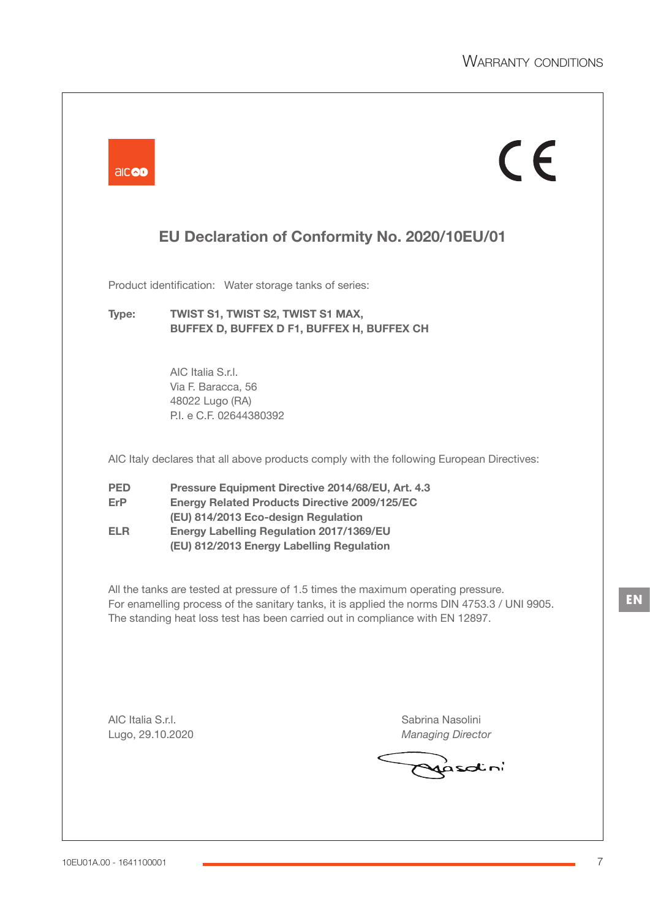| aicod                                  | $\epsilon$                                                                                                                                                                                                                                                         |
|----------------------------------------|--------------------------------------------------------------------------------------------------------------------------------------------------------------------------------------------------------------------------------------------------------------------|
|                                        | EU Declaration of Conformity No. 2020/10EU/01                                                                                                                                                                                                                      |
|                                        | Product identification: Water storage tanks of series:                                                                                                                                                                                                             |
| Type:                                  | TWIST S1, TWIST S2, TWIST S1 MAX,<br>BUFFEX D, BUFFEX D F1, BUFFEX H, BUFFEX CH                                                                                                                                                                                    |
|                                        | AIC Italia S.r.I.<br>Via F. Baracca, 56<br>48022 Lugo (RA)<br>P.I. e C.F. 02644380392                                                                                                                                                                              |
|                                        | AIC Italy declares that all above products comply with the following European Directives:                                                                                                                                                                          |
| <b>PED</b><br><b>ErP</b><br><b>ELR</b> | Pressure Equipment Directive 2014/68/EU, Art. 4.3<br><b>Energy Related Products Directive 2009/125/EC</b><br>(EU) 814/2013 Eco-design Regulation<br><b>Energy Labelling Regulation 2017/1369/EU</b><br>(EU) 812/2013 Energy Labelling Regulation                   |
|                                        | All the tanks are tested at pressure of 1.5 times the maximum operating pressure.<br>For enamelling process of the sanitary tanks, it is applied the norms DIN 4753.3 / UNI 9905.<br>The standing heat loss test has been carried out in compliance with EN 12897. |
| AIC Italia S.r.I.<br>Lugo, 29.10.2020  | Sabrina Nasolini<br><b>Managing Director</b>                                                                                                                                                                                                                       |
|                                        |                                                                                                                                                                                                                                                                    |

**EN**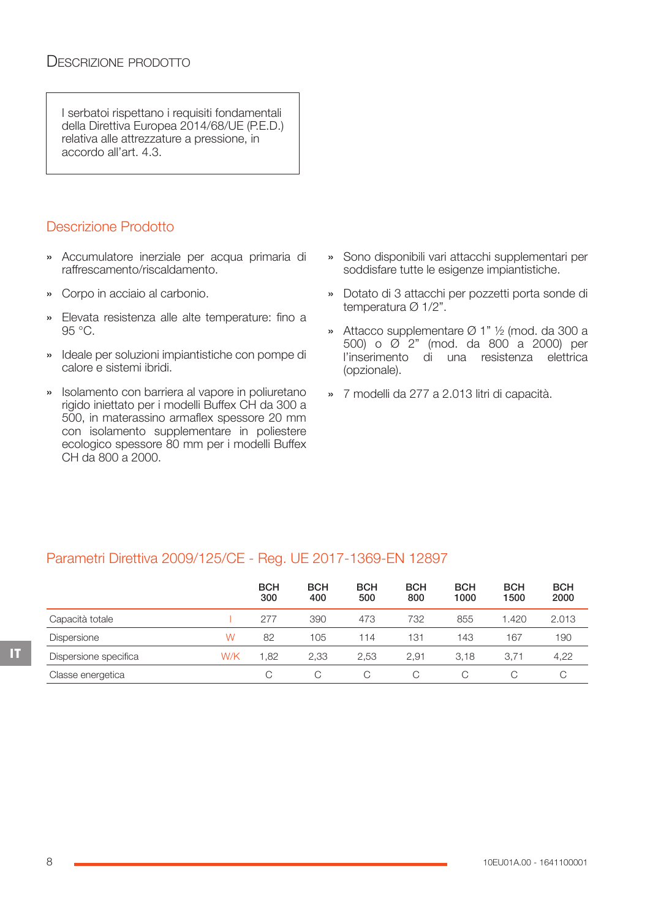I serbatoi rispettano i requisiti fondamentali della Direttiva Europea 2014/68/UE (P.E.D.) relativa alle attrezzature a pressione, in accordo all'art. 4.3.

# Descrizione Prodotto

- » Accumulatore inerziale per acqua primaria di raffrescamento/riscaldamento.
- » Corpo in acciaio al carbonio.
- » Elevata resistenza alle alte temperature: fino a 95 °C.
- » Ideale per soluzioni impiantistiche con pompe di calore e sistemi ibridi.
- » Isolamento con barriera al vapore in poliuretano rigido iniettato per i modelli Buffex CH da 300 a 500, in materassino armaflex spessore 20 mm con isolamento supplementare in poliestere ecologico spessore 80 mm per i modelli Buffex CH da 800 a 2000.
- » Sono disponibili vari attacchi supplementari per soddisfare tutte le esigenze impiantistiche.
- » Dotato di 3 attacchi per pozzetti porta sonde di temperatura Ø 1/2".
- » Attacco supplementare Ø 1" ½ (mod. da 300 a 500) o Ø 2" (mod. da 800 a 2000) per l'inserimento di una resistenza elettrica (opzionale).
- » 7 modelli da 277 a 2.013 litri di capacità.

## Parametri Direttiva 2009/125/CE - Reg. UE 2017-1369-EN 12897

|                       |     | <b>BCH</b><br>300 | <b>BCH</b><br>400 | <b>BCH</b><br>500 | <b>BCH</b><br>800 | <b>BCH</b><br>1000 | <b>BCH</b><br>1500 | <b>BCH</b><br>2000 |
|-----------------------|-----|-------------------|-------------------|-------------------|-------------------|--------------------|--------------------|--------------------|
| Capacità totale       |     | 277               | 390               | 473               | 732               | 855                | 1.420              | 2.013              |
| <b>Dispersione</b>    | W   | 82                | 105               | 114               | 131               | 143                | 167                | 190                |
| Dispersione specifica | W/K | 1.82              | 2,33              | 2.53              | 2.91              | 3.18               | 3.71               | 4,22               |
| Classe energetica     |     | C.                |                   | C                 | C                 | C                  | C                  |                    |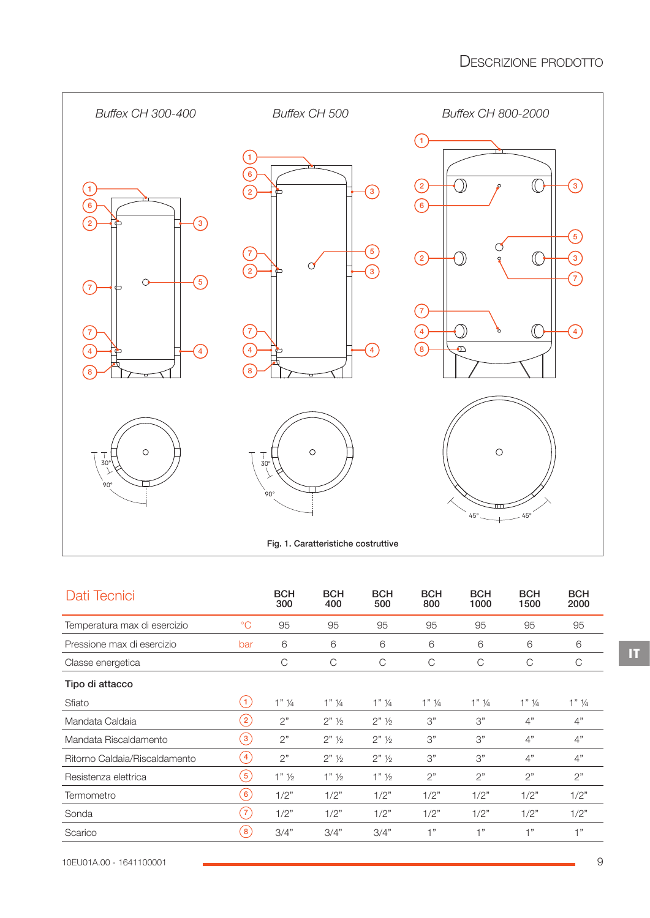

| Fig. 1. Caratteristiche costruttive |  |
|-------------------------------------|--|
|                                     |  |

| Dati Tecnici                  |                          | <b>BCH</b><br>300  | <b>BCH</b><br>400    | <b>BCH</b><br>500    | <b>BCH</b><br>800 | <b>BCH</b><br>1000 | <b>BCH</b><br>1500 | <b>BCH</b><br>2000 |
|-------------------------------|--------------------------|--------------------|----------------------|----------------------|-------------------|--------------------|--------------------|--------------------|
| Temperatura max di esercizio  | $\rm ^{\circ}C$          | 95                 | 95                   | 95                   | 95                | 95                 | 95                 | 95                 |
| Pressione max di esercizio    | bar                      | 6                  | 6                    | 6                    | 6                 | 6                  | 6                  | 6                  |
| Classe energetica             |                          | C                  | $\mathsf{C}$         | C                    | C                 | C                  | C                  | C                  |
| Tipo di attacco               |                          |                    |                      |                      |                   |                    |                    |                    |
| Sfiato                        | $\left( 1 \right)$       | $1"$ $\frac{1}{4}$ | $1"$ 1/4             | $1"$ 1/4             | $1"$ 1/4          | $1"$ 1/4           | $1"$ 1/4           | $1"$ ¼             |
| Mandata Caldaia               | $\left  \right\rangle$ 2 | 2"                 | $2"$ 1/ <sub>2</sub> | $2"$ 1/ <sub>2</sub> | 3"                | 3"                 | 4"                 | 4"                 |
| Mandata Riscaldamento         | $\left(3\right)$         | 2"                 | $2"$ 1/ <sub>2</sub> | $2"$ 1/ <sub>2</sub> | 3"                | 3"                 | 4"                 | $4"$               |
| Ritorno Caldaia/Riscaldamento | $\overline{4}$           | 2"                 | $2"$ 1/ <sub>2</sub> | $2"$ 1/ <sub>2</sub> | 3"                | 3"                 | 4"                 | 4"                 |
| Resistenza elettrica          | (5)                      | $1"$ $\frac{1}{2}$ | $1"$ $\frac{1}{2}$   | $1"$ $\frac{1}{2}$   | 2"                | 2"                 | 2"                 | 2"                 |
| Termometro                    | $\left[ 6 \right]$       | 1/2"               | 1/2"                 | 1/2"                 | 1/2"              | 1/2"               | 1/2"               | 1/2"               |
| Sonda                         | $\sqrt{7}$               | 1/2"               | 1/2"                 | 1/2"                 | 1/2"              | 1/2"               | 1/2"               | 1/2"               |
| Scarico                       | $\mathbf{8}$             | 3/4"               | 3/4"                 | 3/4"                 | 1"                | 1"                 | 1"                 | 1"                 |

**IT**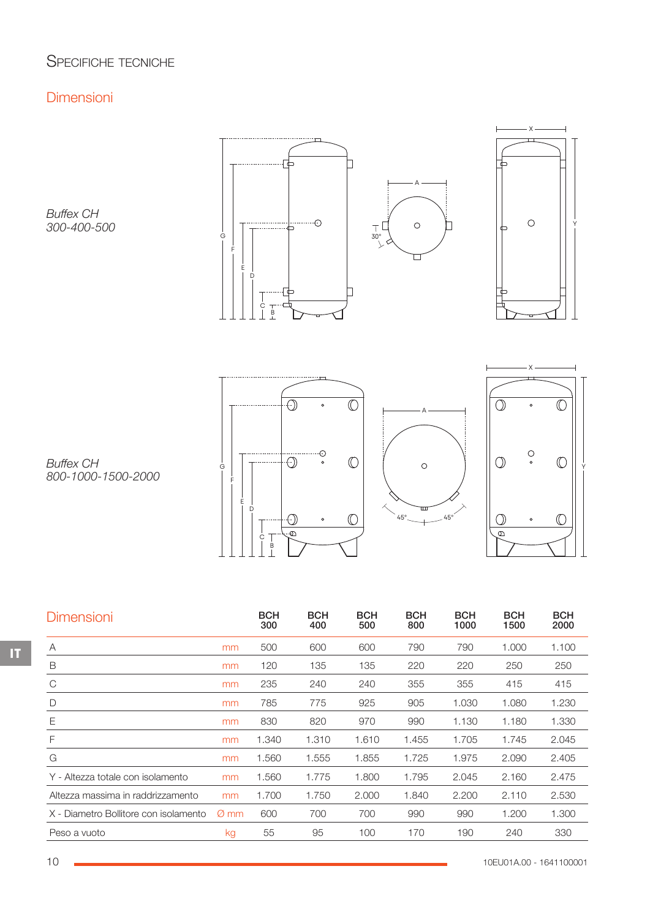# SPECIFICHE TECNICHE

## Dimensioni

*Buffex CH 300-400-500*





. . . . . . . . . . . . . . . . . . . . . . . . . . . . <u>. . .</u>  $\overline{\mathbb{O}}$  $\bigodot$  $\sim$ G || |U |U || O |||U |U||Y F E D  $\circledcirc$ ·O  $\circ$  $\overline{\Theta}$  $\epsilon$  $\begin{array}{c} \mathsf{T} \\ \mathsf{B} \\ \mathsf{L} \end{array}$ 





*Buffex CH 800-1000-1500-2000*

| <b>Dimensioni</b>                     |      | <b>BCH</b><br>300 | <b>BCH</b><br>400 | <b>BCH</b><br>500 | <b>BCH</b><br>800 | <b>BCH</b><br>1000 | <b>BCH</b><br>1500 | <b>BCH</b><br>2000 |
|---------------------------------------|------|-------------------|-------------------|-------------------|-------------------|--------------------|--------------------|--------------------|
| A                                     | mm   | 500               | 600               | 600               | 790               | 790                | 1.000              | 1.100              |
| B                                     | mm   | 120               | 135               | 135               | 220               | 220                | 250                | 250                |
| C                                     | mm   | 235               | 240               | 240               | 355               | 355                | 415                | 415                |
| D                                     | mm   | 785               | 775               | 925               | 905               | 1.030              | 1.080              | 1.230              |
| Ε                                     | mm   | 830               | 820               | 970               | 990               | 1.130              | 1.180              | 1.330              |
| F                                     | mm   | 1.340             | 1.310             | 1.610             | 1.455             | 1.705              | 1.745              | 2.045              |
| G                                     | mm   | 1.560             | 1.555             | 1.855             | 1.725             | 1.975              | 2.090              | 2.405              |
| Y - Altezza totale con isolamento     | mm   | 1.560             | 1.775             | 1.800             | 1.795             | 2.045              | 2.160              | 2.475              |
| Altezza massima in raddrizzamento     | mm   | 1.700             | 1.750             | 2.000             | 1.840             | 2.200              | 2.110              | 2.530              |
| X - Diametro Bollitore con isolamento | Ø mm | 600               | 700               | 700               | 990               | 990                | 1.200              | 1.300              |
| Peso a vuoto                          | kg   | 55                | 95                | 100               | 170               | 190                | 240                | 330                |

**IT**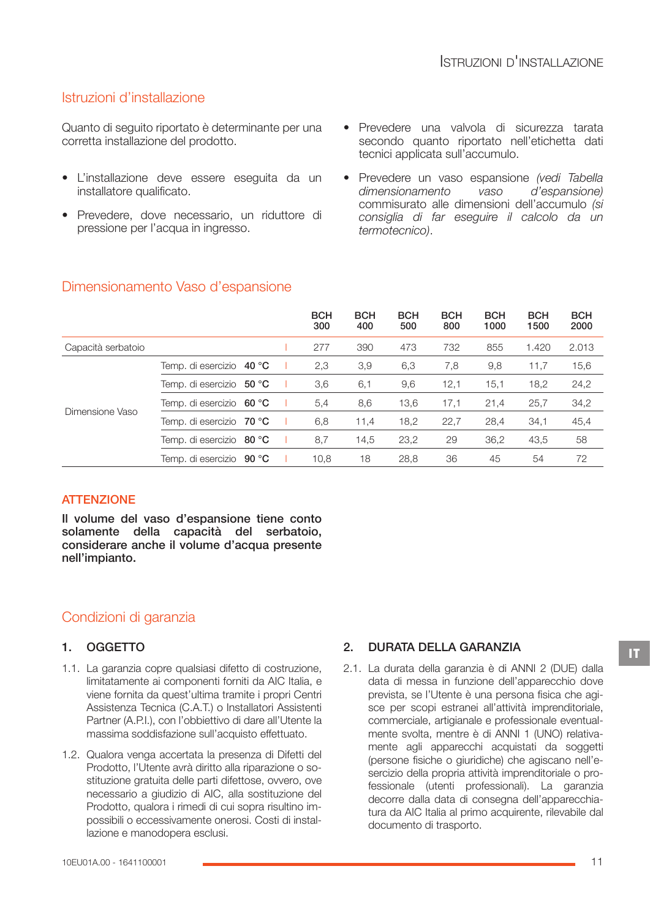## Istruzioni d'installazione

Quanto di seguito riportato è determinante per una corretta installazione del prodotto.

- L'installazione deve essere eseguita da un installatore qualificato.
- Prevedere, dove necessario, un riduttore di pressione per l'acqua in ingresso.
- Prevedere una valvola di sicurezza tarata secondo quanto riportato nell'etichetta dati tecnici applicata sull'accumulo.
- Prevedere un vaso espansione *(vedi Tabella dimensionamento vaso d'espansione)* commisurato alle dimensioni dell'accumulo *(si consiglia di far eseguire il calcolo da un termotecnico)*.

|                    |                          |  | <b>BCH</b><br>300 | <b>BCH</b><br>400 | <b>BCH</b><br>500 | <b>BCH</b><br>800 | <b>BCH</b><br>1000 | <b>BCH</b><br>1500 | <b>BCH</b><br>2000 |
|--------------------|--------------------------|--|-------------------|-------------------|-------------------|-------------------|--------------------|--------------------|--------------------|
| Capacità serbatoio |                          |  | 277               | 390               | 473               | 732               | 855                | 1.420              | 2.013              |
|                    | Temp. di esercizio 40 °C |  | 2,3               | 3,9               | 6,3               | 7,8               | 9,8                | 11,7               | 15,6               |
|                    | Temp. di esercizio 50 °C |  | 3,6               | 6,1               | 9,6               | 12,1              | 15,1               | 18,2               | 24,2               |
| Dimensione Vaso    | Temp. di esercizio 60 °C |  | 5,4               | 8,6               | 13,6              | 17,1              | 21,4               | 25,7               | 34,2               |
|                    | Temp. di esercizio 70 °C |  | 6,8               | 11,4              | 18,2              | 22,7              | 28,4               | 34,1               | 45,4               |
|                    | Temp. di esercizio 80 °C |  | 8,7               | 14,5              | 23,2              | 29                | 36,2               | 43,5               | 58                 |
|                    | Temp. di esercizio 90 °C |  | 10,8              | 18                | 28,8              | 36                | 45                 | 54                 | 72                 |

## Dimensionamento Vaso d'espansione

## **ATTENZIONE**

Il volume del vaso d'espansione tiene conto solamente della capacità del serbatoio, considerare anche il volume d'acqua presente nell'impianto.

## Condizioni di garanzia

#### 1. OGGETTO

- 1.1. La garanzia copre qualsiasi difetto di costruzione, limitatamente ai componenti forniti da AIC Italia, e viene fornita da quest'ultima tramite i propri Centri Assistenza Tecnica (C.A.T.) o Installatori Assistenti Partner (A.P.I.), con l'obbiettivo di dare all'Utente la massima soddisfazione sull'acquisto effettuato.
- 1.2. Qualora venga accertata la presenza di Difetti del Prodotto, l'Utente avrà diritto alla riparazione o so‐ stituzione gratuita delle parti difettose, ovvero, ove necessario a giudizio di AIC, alla sostituzione del Prodotto, qualora i rimedi di cui sopra risultino im‐ possibili o eccessivamente onerosi. Costi di instal‐ lazione e manodopera esclusi.

## 2. DURATA DELLA GARANZIA

2.1. La durata della garanzia è di ANNI 2 (DUE) dalla data di messa in funzione dell'apparecchio dove prevista, se l'Utente è una persona fisica che agi‐ sce per scopi estranei all'attività imprenditoriale, commerciale, artigianale e professionale eventual‐ mente svolta, mentre è di ANNI 1 (UNO) relativa‐ mente agli apparecchi acquistati da soggetti (persone fisiche o giuridiche) che agiscano nell'e‐ sercizio della propria attività imprenditoriale o professionale (utenti professionali). La garanzia decorre dalla data di consegna dell'apparecchia‐ tura da AIC Italia al primo acquirente, rilevabile dal documento di trasporto.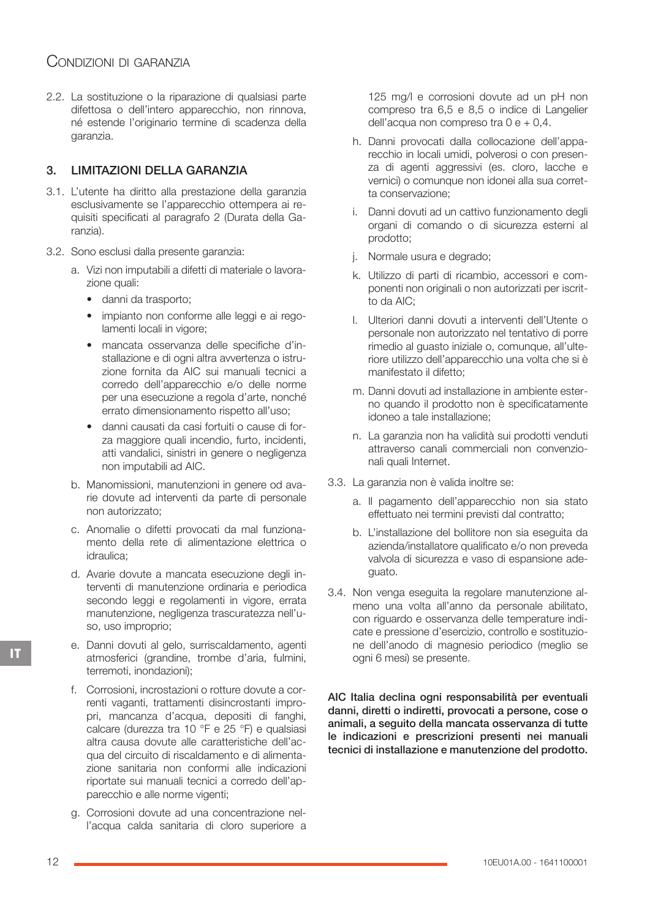## CONDIZIONI DI GARANZIA

2.2. La sostituzione o la riparazione di qualsiasi parte difettosa o dell'intero apparecchio, non rinnova, né estende l'originario termine di scadenza della garanzia.

## 3. LIMITAZIONI DELLA GARANZIA

- 3.1. L'utente ha diritto alla prestazione della garanzia esclusivamente se l'apparecchio ottempera ai re‐ quisiti specificati al paragrafo 2 (Durata della Ga‐ ranzia).
- 3.2. Sono esclusi dalla presente garanzia:
	- a. Vizi non imputabili a difetti di materiale o lavora‐ zione quali:
		- danni da trasporto;
		- impianto non conforme alle leggi e ai regolamenti locali in vigore;
		- mancata osservanza delle specifiche d'in‐ stallazione e di ogni altra avvertenza o istruzione fornita da AIC sui manuali tecnici a corredo dell'apparecchio e/o delle norme per una esecuzione a regola d'arte, nonché errato dimensionamento rispetto all'uso;
		- danni causati da casi fortuiti o cause di for‐ za maggiore quali incendio, furto, incidenti, atti vandalici, sinistri in genere o negligenza non imputabili ad AIC.
	- b. Manomissioni, manutenzioni in genere od avarie dovute ad interventi da parte di personale non autorizzato;
	- c. Anomalie o difetti provocati da mal funziona‐ mento della rete di alimentazione elettrica o idraulica;
	- d. Avarie dovute a mancata esecuzione degli in‐ terventi di manutenzione ordinaria e periodica secondo leggi e regolamenti in vigore, errata manutenzione, negligenza trascuratezza nell'u‐ so, uso improprio;
	- e. Danni dovuti al gelo, surriscaldamento, agenti atmosferici (grandine, trombe d'aria, fulmini, terremoti, inondazioni);
	- f. Corrosioni, incrostazioni o rotture dovute a cor‐ renti vaganti, trattamenti disincrostanti impro‐ pri, mancanza d'acqua, depositi di fanghi, calcare (durezza tra 10 °F e 25 °F) e qualsiasi altra causa dovute alle caratteristiche dell'ac‐ qua del circuito di riscaldamento e di alimenta‐ zione sanitaria non conformi alle indicazioni riportate sui manuali tecnici a corredo dell'ap‐ parecchio e alle norme vigenti;
	- g. Corrosioni dovute ad una concentrazione nel‐ l'acqua calda sanitaria di cloro superiore a

125 mg/l e corrosioni dovute ad un pH non compreso tra 6,5 e 8,5 o indice di Langelier dell'acqua non compreso tra  $0 e + 0,4$ .

- h. Danni provocati dalla collocazione dell'appa‐ recchio in locali umidi, polverosi o con presen‐ za di agenti aggressivi (es. cloro, lacche e vernici) o comunque non idonei alla sua corret‐ ta conservazione;
- i. Danni dovuti ad un cattivo funzionamento degli organi di comando o di sicurezza esterni al prodotto;
- j. Normale usura e degrado;
- k. Utilizzo di parti di ricambio, accessori e com‐ ponenti non originali o non autorizzati per iscrit‐ to da AIC;
- l. Ulteriori danni dovuti a interventi dell'Utente o personale non autorizzato nel tentativo di porre rimedio al guasto iniziale o, comunque, all'ulte‐ riore utilizzo dell'apparecchio una volta che si è manifestato il difetto;
- m. Danni dovuti ad installazione in ambiente ester‐ no quando il prodotto non è specificatamente idoneo a tale installazione;
- n. La garanzia non ha validità sui prodotti venduti attraverso canali commerciali non convenzio‐ nali quali Internet.
- 3.3. La garanzia non è valida inoltre se:
	- a. Il pagamento dell'apparecchio non sia stato effettuato nei termini previsti dal contratto;
	- b. L'installazione del bollitore non sia eseguita da azienda/installatore qualificato e/o non preveda valvola di sicurezza e vaso di espansione ade‐ guato.
- 3.4. Non venga eseguita la regolare manutenzione al‐ meno una volta all'anno da personale abilitato, con riguardo e osservanza delle temperature indi‐ cate e pressione d'esercizio, controllo e sostituzio‐ ne dell'anodo di magnesio periodico (meglio se ogni 6 mesi) se presente.

AIC Italia declina ogni responsabilità per eventuali danni, diretti o indiretti, provocati a persone, cose o animali, a seguito della mancata osservanza di tutte le indicazioni e prescrizioni presenti nei manuali tecnici di installazione e manutenzione del prodotto.

**IT**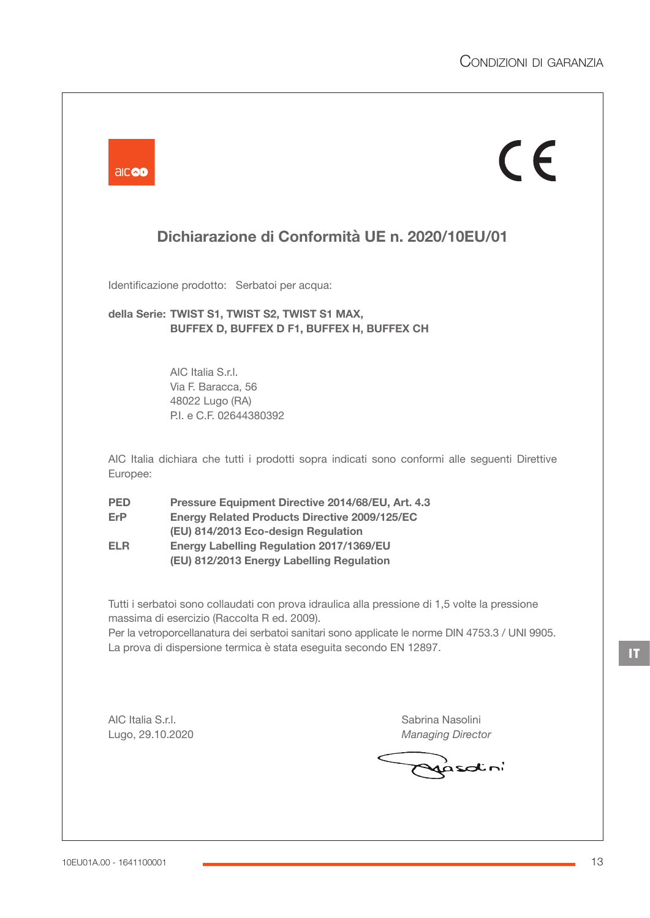|                    |                                                                                                                                     | $C \in$                                                                                                                                                                                          |
|--------------------|-------------------------------------------------------------------------------------------------------------------------------------|--------------------------------------------------------------------------------------------------------------------------------------------------------------------------------------------------|
|                    |                                                                                                                                     | Dichiarazione di Conformità UE n. 2020/10EU/01                                                                                                                                                   |
|                    | Identificazione prodotto: Serbatoi per acqua:                                                                                       |                                                                                                                                                                                                  |
|                    | della Serie: TWIST S1, TWIST S2, TWIST S1 MAX,<br>BUFFEX D, BUFFEX D F1, BUFFEX H, BUFFEX CH                                        |                                                                                                                                                                                                  |
|                    | AIC Italia S.r.I.                                                                                                                   |                                                                                                                                                                                                  |
|                    | Via F. Baracca, 56<br>48022 Lugo (RA)                                                                                               |                                                                                                                                                                                                  |
|                    | P.I. e C.F. 02644380392                                                                                                             |                                                                                                                                                                                                  |
| Europee:           |                                                                                                                                     | AIC Italia dichiara che tutti i prodotti sopra indicati sono conformi alle seguenti Direttive                                                                                                    |
| <b>PED</b><br>ErP. | Pressure Equipment Directive 2014/68/EU, Art. 4.3<br><b>Energy Related Products Directive 2009/125/EC</b>                           |                                                                                                                                                                                                  |
| ELR.               | (EU) 814/2013 Eco-design Regulation<br><b>Energy Labelling Regulation 2017/1369/EU</b><br>(EU) 812/2013 Energy Labelling Regulation |                                                                                                                                                                                                  |
|                    | massima di esercizio (Raccolta R ed. 2009).<br>La prova di dispersione termica è stata eseguita secondo EN 12897.                   | Tutti i serbatoi sono collaudati con prova idraulica alla pressione di 1,5 volte la pressione<br>Per la vetroporcellanatura dei serbatoi sanitari sono applicate le norme DIN 4753.3 / UNI 9905. |
|                    |                                                                                                                                     |                                                                                                                                                                                                  |
|                    |                                                                                                                                     | Sabrina Nasolini                                                                                                                                                                                 |
| AIC Italia S.r.I.  |                                                                                                                                     |                                                                                                                                                                                                  |

 $\blacksquare$ 

and the company

**IT**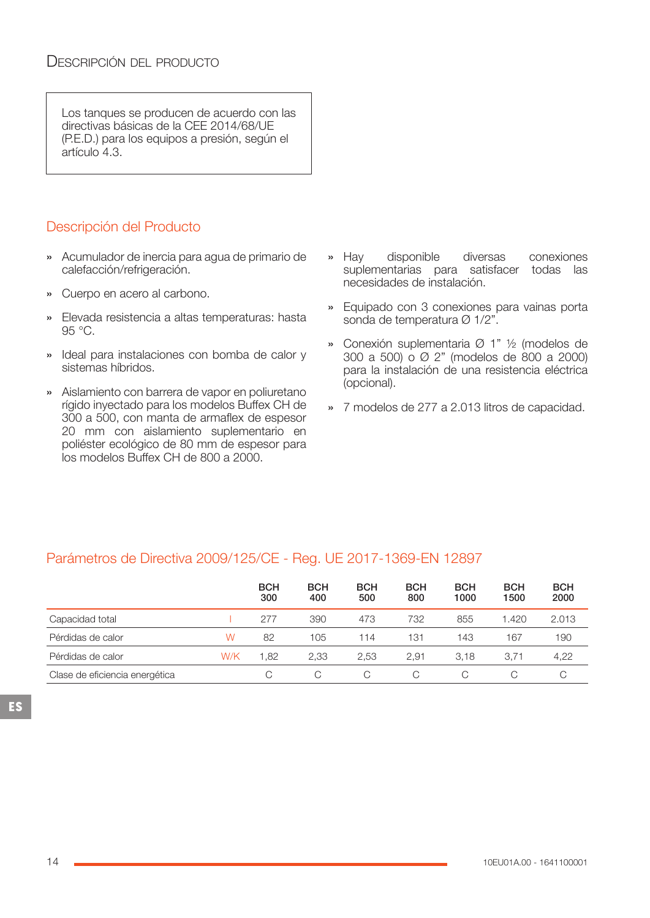Los tanques se producen de acuerdo con las directivas básicas de la CEE 2014/68/UE (P.E.D.) para los equipos a presión, según el artículo 4.3.

# Descripción del Producto

- » Acumulador de inercia para agua de primario de calefacción/refrigeración.
- » Cuerpo en acero al carbono.
- » Elevada resistencia a altas temperaturas: hasta 95 °C.
- » Ideal para instalaciones con bomba de calor y sistemas híbridos.
- » Aislamiento con barrera de vapor en poliuretano rígido inyectado para los modelos Buffex CH de 300 a 500, con manta de armaflex de espesor 20 mm con aislamiento suplementario en poliéster ecológico de 80 mm de espesor para los modelos Buffex CH de 800 a 2000.
- » Hay disponible diversas conexiones suplementarias para satisfacer todas las necesidades de instalación.
- » Equipado con 3 conexiones para vainas porta sonda de temperatura Ø 1/2".
- » Conexión suplementaria Ø 1" ½ (modelos de 300 a 500) o Ø 2" (modelos de 800 a 2000) para la instalación de una resistencia eléctrica (opcional).
- » 7 modelos de 277 a 2.013 litros de capacidad.

## Parámetros de Directiva 2009/125/CE - Reg. UE 2017-1369-EN 12897

|                                |     | <b>BCH</b><br>300 | <b>BCH</b><br>400 | <b>BCH</b><br>500 | <b>BCH</b><br>800 | <b>BCH</b><br>1000 | <b>BCH</b><br>1500 | <b>BCH</b><br>2000 |
|--------------------------------|-----|-------------------|-------------------|-------------------|-------------------|--------------------|--------------------|--------------------|
| Capacidad total                |     | 277               | 390               | 473               | 732               | 855                | 1.420              | 2.013              |
| Pérdidas de calor              | W   | 82                | 105               | 114               | 131               | 143                | 167                | 190                |
| Pérdidas de calor              | W/K | .82               | 2.33              | 2.53              | 2,91              | 3.18               | 3.71               | 4,22               |
| Clase de eficiencia energética |     |                   | C                 | C                 | С                 |                    |                    |                    |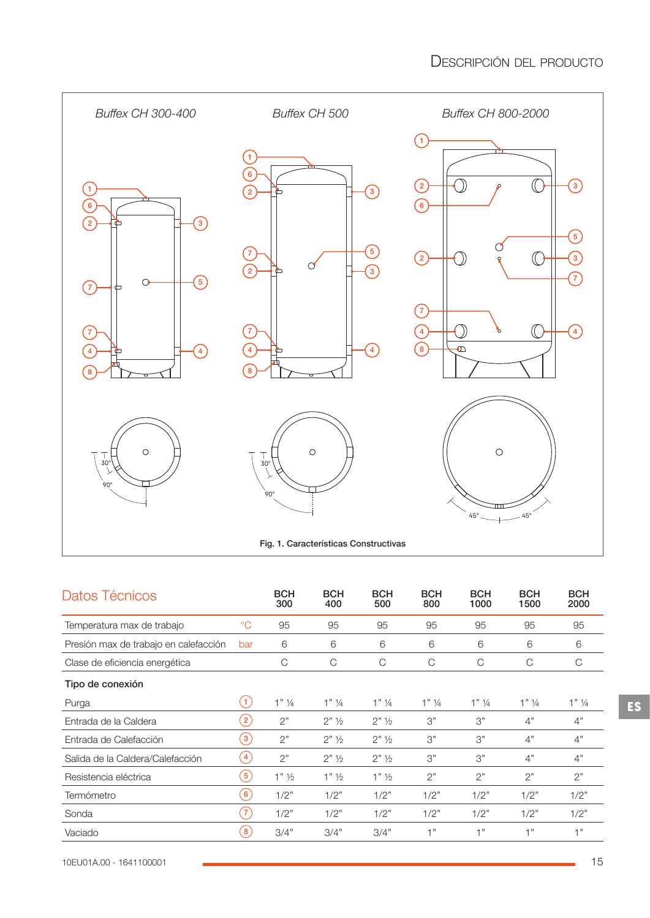

| Datos Técnicos                        |                    | <b>BCH</b><br>300  | <b>BCH</b><br>400    | <b>BCH</b><br>500    | <b>BCH</b><br>800  | <b>BCH</b><br>1000 | <b>BCH</b><br>1500 | <b>BCH</b><br>2000 |
|---------------------------------------|--------------------|--------------------|----------------------|----------------------|--------------------|--------------------|--------------------|--------------------|
| Temperatura max de trabajo            | $\rm ^{\circ}C$    | 95                 | 95                   | 95                   | 95                 | 95                 | 95                 | 95                 |
| Presión max de trabajo en calefacción | bar                | 6                  | 6                    | 6                    | 6                  | 6                  | 6                  | 6                  |
| Clase de eficiencia energética        |                    | C                  | C                    | C                    | С                  | C                  | $\mathcal{C}$      | С                  |
| Tipo de conexión                      |                    |                    |                      |                      |                    |                    |                    |                    |
| Purga                                 | $\left( 1 \right)$ | $1"$ $\frac{1}{4}$ | $1"$ 1/4             | $1"$ ¼               | $1"$ $\frac{1}{4}$ | $1"$ ¼             | $1"$ 1/4           | $1"$ 1/4           |
| Entrada de la Caldera                 | $\left( 2\right)$  | 2"                 | $2"$ 1/ <sub>2</sub> | $2"$ 1/ <sub>2</sub> | 3"                 | 3"                 | 4"                 | 4"                 |
| Entrada de Calefacción                | $\left(3\right)$   | 2"                 | $2"$ 1/ <sub>2</sub> | $2"$ 1/ <sub>2</sub> | 3"                 | 3"                 | 4"                 | $4"$               |
| Salida de la Caldera/Calefacción      | $\left( 4 \right)$ | 2"                 | $2"$ 1/ <sub>2</sub> | $2"$ 1/ <sub>2</sub> | 3"                 | 3"                 | 4"                 | 4"                 |
| Resistencia eléctrica                 | (5)                | $1"$ $\frac{1}{2}$ | $1"$ $\frac{1}{2}$   | $1"$ $\frac{1}{2}$   | 2"                 | 2"                 | 2"                 | 2"                 |
| Termómetro                            | $\left[6\right]$   | 1/2"               | 1/2"                 | 1/2"                 | 1/2"               | 1/2"               | 1/2"               | 1/2"               |
| Sonda                                 | $\left(7\right)$   | 1/2"               | 1/2"                 | 1/2"                 | 1/2"               | 1/2"               | 1/2"               | 1/2"               |
| Vaciado                               | $\mathbf{8}$       | 3/4"               | 3/4"                 | 3/4"                 | $+$ "              | 1"                 | $+$ "              | 1"                 |

**ES**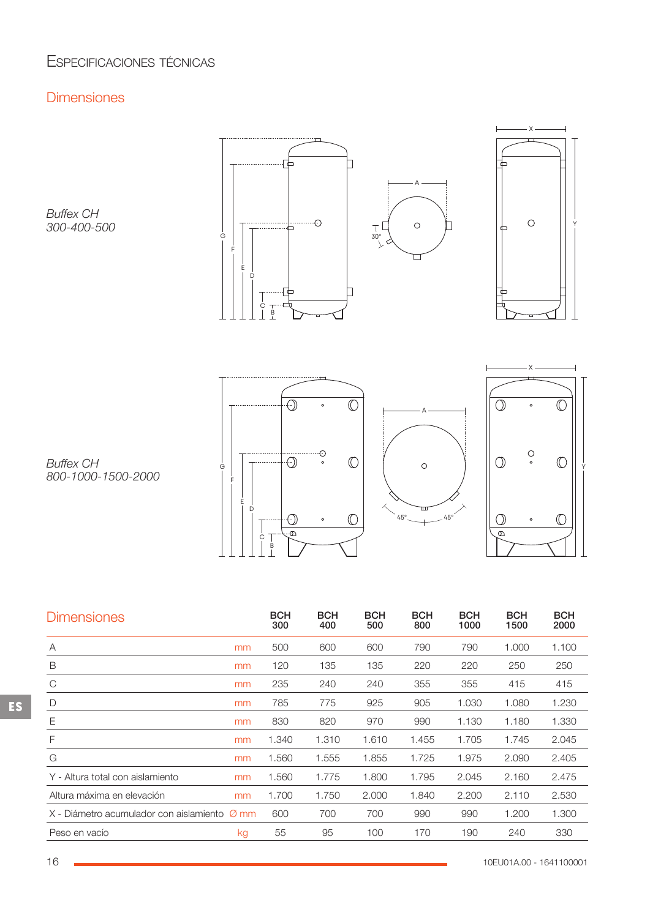# ESPECIFICACIONES TÉCNICAS

# **Dimensiones**

*Buffex CH 300-400-500*





. . . . . . . . . . . . . . . . . . . . . . . . . . . . <u>. . .</u>  $\overline{\mathbb{O}}$  $\bigodot$ G || |U |U || O |||U |U||Y F E D  $\circledcirc$  $\bigcirc$  $\circ$  $\overline{\Theta}$  $\epsilon$  $\begin{array}{c}\n\top \\
B\n\end{array}$ 





*Buffex CH 800-1000-1500-2000*

| <b>Dimensiones</b>                           |    | <b>BCH</b><br>300 | <b>BCH</b><br>400 | <b>BCH</b><br>500 | <b>BCH</b><br>800 | <b>BCH</b><br>1000 | <b>BCH</b><br>1500 | <b>BCH</b><br>2000 |
|----------------------------------------------|----|-------------------|-------------------|-------------------|-------------------|--------------------|--------------------|--------------------|
| А                                            | mm | 500               | 600               | 600               | 790               | 790                | 1.000              | 1.100              |
| B                                            | mm | 120               | 135               | 135               | 220               | 220                | 250                | 250                |
| C                                            | mm | 235               | 240               | 240               | 355               | 355                | 415                | 415                |
| D                                            | mm | 785               | 775               | 925               | 905               | 1.030              | 1.080              | 1.230              |
| Ε                                            | mm | 830               | 820               | 970               | 990               | 1.130              | 1.180              | 1.330              |
| F                                            | mm | 1.340             | 1.310             | 1.610             | 1.455             | 1.705              | 1.745              | 2.045              |
| G                                            | mm | 1.560             | 1.555             | 1.855             | 1.725             | 1.975              | 2.090              | 2.405              |
| Y - Altura total con aislamiento             | mm | 1.560             | 1.775             | 1.800             | 1.795             | 2.045              | 2.160              | 2.475              |
| Altura máxima en elevación                   | mm | 1.700             | 1.750             | 2.000             | 1.840             | 2.200              | 2.110              | 2.530              |
| X - Diámetro acumulador con aislamiento Ø mm |    | 600               | 700               | 700               | 990               | 990                | 1.200              | 1.300              |
| Peso en vacío                                | kg | 55                | 95                | 100               | 170               | 190                | 240                | 330                |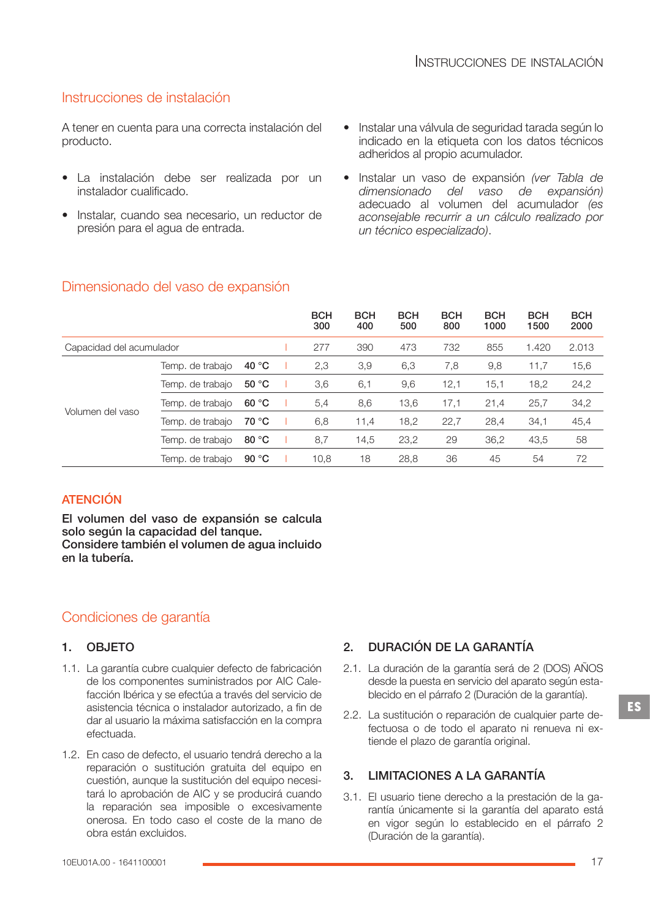## Instrucciones de instalación

A tener en cuenta para una correcta instalación del producto.

- La instalación debe ser realizada por un instalador cualificado.
- Instalar, cuando sea necesario, un reductor de presión para el agua de entrada.
- Instalar una válvula de seguridad tarada según lo indicado en la etiqueta con los datos técnicos adheridos al propio acumulador.
- Instalar un vaso de expansión *(ver Tabla de dimensionado del vaso de expansión)* adecuado al volumen del acumulador *(es aconsejable recurrir a un cálculo realizado por un técnico especializado)*.

|                          |                  |                | <b>BCH</b><br>300 | <b>BCH</b><br>400 | <b>BCH</b><br>500 | <b>BCH</b><br>800 | <b>BCH</b><br>1000 | <b>BCH</b><br>1500 | <b>BCH</b><br>2000 |
|--------------------------|------------------|----------------|-------------------|-------------------|-------------------|-------------------|--------------------|--------------------|--------------------|
| Capacidad del acumulador |                  |                | 277               | 390               | 473               | 732               | 855                | 1.420              | 2.013              |
|                          | Temp. de trabajo | 40 $\degree$ C | 2,3               | 3,9               | 6,3               | 7,8               | 9,8                | 11,7               | 15,6               |
|                          | Temp. de trabajo | 50 °C          | 3,6               | 6,1               | 9,6               | 12,1              | 15,1               | 18,2               | 24,2               |
| Volumen del vaso         | Temp. de trabajo | 60 °C          | 5,4               | 8,6               | 13,6              | 17,1              | 21,4               | 25,7               | 34,2               |
|                          | Temp. de trabajo | 70 °C          | 6,8               | 11,4              | 18,2              | 22,7              | 28,4               | 34,1               | 45,4               |
|                          | Temp. de trabajo | 80 °C          | 8,7               | 14,5              | 23,2              | 29                | 36,2               | 43,5               | 58                 |
|                          | Temp. de trabajo | 90 $\degree$ C | 10,8              | 18                | 28,8              | 36                | 45                 | 54                 | 72                 |

## Dimensionado del vaso de expansión

## **ATENCIÓN**

El volumen del vaso de expansión se calcula solo según la capacidad del tanque. Considere también el volumen de agua incluido en la tubería.

## Condiciones de garantía

## 1. OBJETO

- 1.1. La garantía cubre cualquier defecto de fabricación de los componentes suministrados por AIC Cale‐ facción Ibérica y se efectúa a través del servicio de asistencia técnica o instalador autorizado, a fin de dar al usuario la máxima satisfacción en la compra efectuada.
- 1.2. En caso de defecto, el usuario tendrá derecho a la reparación o sustitución gratuita del equipo en cuestión, aunque la sustitución del equipo necesi‐ tará lo aprobación de AIC y se producirá cuando la reparación sea imposible o excesivamente onerosa. En todo caso el coste de la mano de obra están excluidos.

## 2. DURACIÓN DE LA GARANTÍA

- 2.1. La duración de la garantía será de 2 (DOS) AÑOS desde la puesta en servicio del aparato según esta‐ blecido en el párrafo 2 (Duración de la garantía).
- 2.2. La sustitución o reparación de cualquier parte de‐ fectuosa o de todo el aparato ni renueva ni ex‐ tiende el plazo de garantía original.

## 3. LIMITACIONES A LA GARANTÍA

3.1. El usuario tiene derecho a la prestación de la ga‐ rantía únicamente si la garantía del aparato está en vigor según lo establecido en el párrafo 2 (Duración de la garantía).

**ES**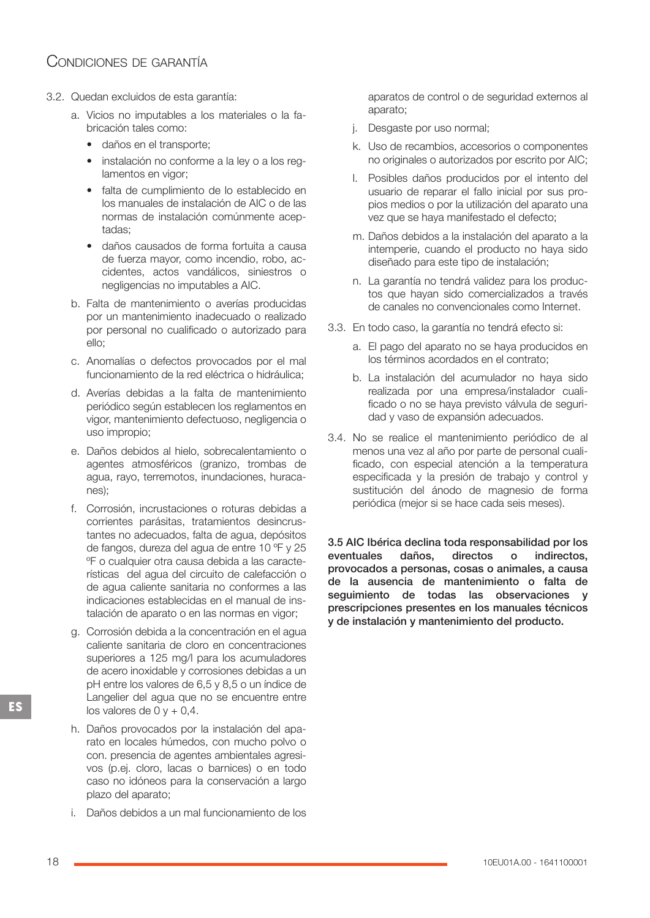# CONDICIONES DE GARANTÍA

- 3.2. Quedan excluidos de esta garantía:
	- a. Vicios no imputables a los materiales o la fa‐ bricación tales como:
		- daños en el transporte;
		- instalación no conforme a la ley o a los reg‐ lamentos en vigor;
		- falta de cumplimiento de lo establecido en los manuales de instalación de AIC o de las normas de instalación comúnmente acep‐ tadas;
		- daños causados de forma fortuita a causa de fuerza mayor, como incendio, robo, ac‐ cidentes, actos vandálicos, siniestros o negligencias no imputables a AIC.
	- b. Falta de mantenimiento o averías producidas por un mantenimiento inadecuado o realizado por personal no cualificado o autorizado para ello;
	- c. Anomalías o defectos provocados por el mal funcionamiento de la red eléctrica o hidráulica;
	- d. Averías debidas a la falta de mantenimiento periódico según establecen los reglamentos en vigor, mantenimiento defectuoso, negligencia o uso impropio;
	- e. Daños debidos al hielo, sobrecalentamiento o agentes atmosféricos (granizo, trombas de agua, rayo, terremotos, inundaciones, huraca‐ nes);
	- f. Corrosión, incrustaciones o roturas debidas a corrientes parásitas, tratamientos desincrus‐ tantes no adecuados, falta de agua, depósitos de fangos, dureza del agua de entre 10 ºF y 25 ºF o cualquier otra causa debida a las caracte‐ rísticas del agua del circuito de calefacción o de agua caliente sanitaria no conformes a las indicaciones establecidas en el manual de ins‐ talación de aparato o en las normas en vigor;
	- g. Corrosión debida a la concentración en el agua caliente sanitaria de cloro en concentraciones superiores a 125 mg/l para los acumuladores de acero inoxidable y corrosiones debidas a un pH entre los valores de 6,5 y 8,5 o un índice de Langelier del agua que no se encuentre entre los valores de  $0y + 0.4$ .
	- h. Daños provocados por la instalación del apa‐ rato en locales húmedos, con mucho polvo o con. presencia de agentes ambientales agresi‐ vos (p.ej. cloro, lacas o barnices) o en todo caso no idóneos para la conservación a largo plazo del aparato;
	- i. Daños debidos a un mal funcionamiento de los

aparatos de control o de seguridad externos al aparato;

- j. Desgaste por uso normal;
- k. Uso de recambios, accesorios o componentes no originales o autorizados por escrito por AIC;
- l. Posibles daños producidos por el intento del usuario de reparar el fallo inicial por sus pro‐ pios medios o por la utilización del aparato una vez que se haya manifestado el defecto;
- m. Daños debidos a la instalación del aparato a la intemperie, cuando el producto no haya sido diseñado para este tipo de instalación;
- n. La garantía no tendrá validez para los produc‐ tos que hayan sido comercializados a través de canales no convencionales como Internet.
- 3.3. En todo caso, la garantía no tendrá efecto si:
	- a. El pago del aparato no se haya producidos en los términos acordados en el contrato;
	- b. La instalación del acumulador no haya sido realizada por una empresa/instalador cuali‐ ficado o no se haya previsto válvula de seguri‐ dad y vaso de expansión adecuados.
- 3.4. No se realice el mantenimiento periódico de al menos una vez al año por parte de personal cuali‐ ficado, con especial atención a la temperatura especificada y la presión de trabajo y control y sustitución del ánodo de magnesio de forma periódica (mejor si se hace cada seis meses).

3.5 AIC Ibérica declina toda responsabilidad por los eventuales daños, directos o indirectos, provocados a personas, cosas o animales, a causa de la ausencia de mantenimiento o falta de seguimiento de todas las observaciones y prescripciones presentes en los manuales técnicos y de instalación y mantenimiento del producto.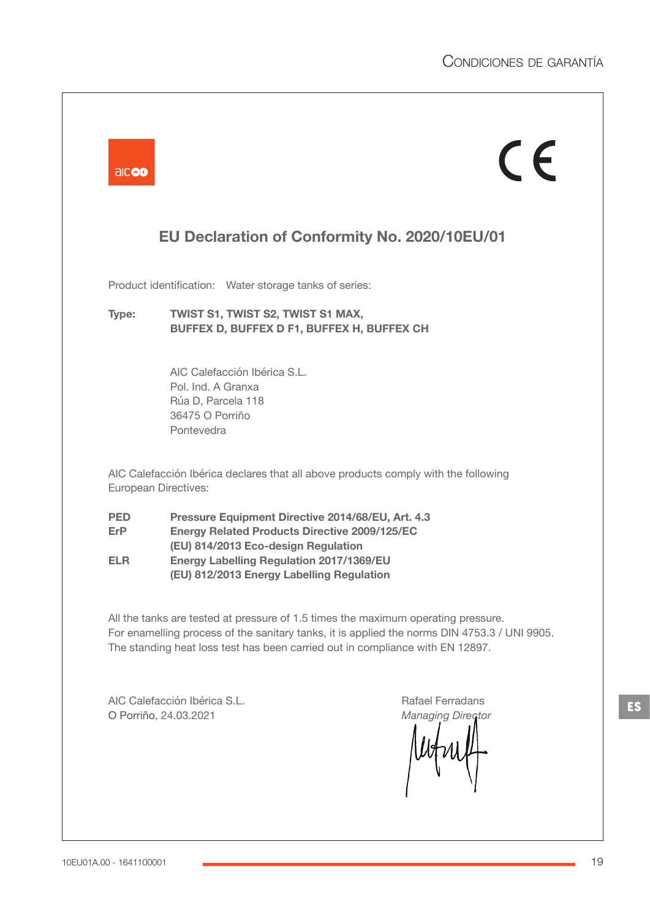|                                 | EU Declaration of Conformity No. 2020/10EU/01                                                                                                                                                                                                    |
|---------------------------------|--------------------------------------------------------------------------------------------------------------------------------------------------------------------------------------------------------------------------------------------------|
|                                 | Product identification: Water storage tanks of series:                                                                                                                                                                                           |
| Type:                           | TWIST S1, TWIST S2, TWIST S1 MAX,<br>BUFFEX D, BUFFEX D F1, BUFFEX H, BUFFEX CH                                                                                                                                                                  |
|                                 | AIC Calefacción Ibérica S.L.<br>Pol. Ind. A Granxa<br>Rúa D, Parcela 118<br>36475 O Porriño<br>Pontevedra                                                                                                                                        |
|                                 | AIC Calefacción Ibérica declares that all above products comply with the following<br>European Directives:                                                                                                                                       |
| <b>PED</b><br>ErP<br><b>ELR</b> | Pressure Equipment Directive 2014/68/EU, Art. 4.3<br><b>Energy Related Products Directive 2009/125/EC</b><br>(EU) 814/2013 Eco-design Regulation<br><b>Energy Labelling Regulation 2017/1369/EU</b><br>(EU) 812/2013 Energy Labelling Regulation |
|                                 | All the tanks are tested at pressure of 1.5 times the maximum operating pressure.<br>For enamelling process of the sanitary tanks, it is applied the norms DIN 4753.3 / UNI 9905.                                                                |
|                                 | The standing heat loss test has been carried out in compliance with EN 12897.                                                                                                                                                                    |

 $\blacksquare$ 

**ES**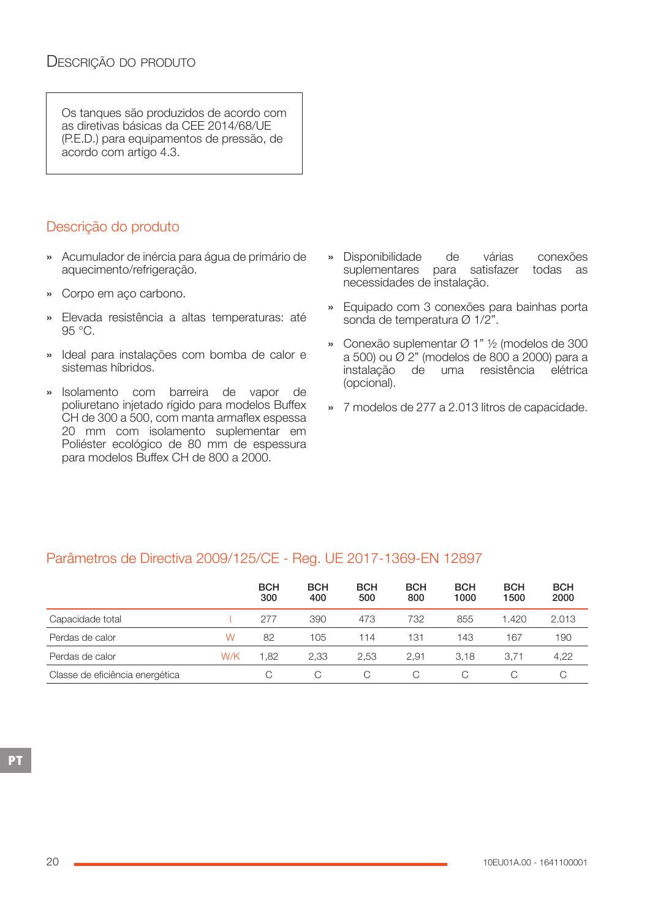Os tanques são produzidos de acordo com as diretivas básicas da CEE 2014/68/UE (P.E.D.) para equipamentos de pressão, de acordo com artigo 4.3.

# Descrição do produto

- » Acumulador de inércia para água de primário de aquecimento/refrigeração.
- » Corpo em aço carbono.
- » Elevada resistência a altas temperaturas: até 95 °C.
- » Ideal para instalações com bomba de calor e sistemas híbridos.
- » Isolamento com barreira de vapor de poliuretano injetado rígido para modelos Buffex CH de 300 a 500, com manta armaflex espessa 20 mm com isolamento suplementar em Poliéster ecológico de 80 mm de espessura para modelos Buffex CH de 800 a 2000.
- » Disponibilidade de várias conexões suplementares para satisfazer todas as necessidades de instalação.
- » Equipado com 3 conexões para bainhas porta sonda de temperatura Ø 1/2".
- » Conexão suplementar Ø 1" ½ (modelos de 300 a 500) ou Ø 2" (modelos de 800 a 2000) para a instalação de uma resistência elétrica (opcional).
- » 7 modelos de 277 a 2.013 litros de capacidade.

## Parâmetros de Directiva 2009/125/CE - Reg. UE 2017-1369-EN 12897

|                                 |     | <b>BCH</b><br>300 | <b>BCH</b><br>400 | <b>BCH</b><br>500 | <b>BCH</b><br>800 | <b>BCH</b><br>1000 | <b>BCH</b><br>1500 | <b>BCH</b><br>2000 |
|---------------------------------|-----|-------------------|-------------------|-------------------|-------------------|--------------------|--------------------|--------------------|
| Capacidade total                |     | 277               | 390               | 473               | 732               | 855                | 1.420              | 2.013              |
| Perdas de calor                 | W   | 82                | 105               | 114               | 131               | 143                | 167                | 190                |
| Perdas de calor                 | W/K | 1.82              | 2.33              | 2.53              | 2.91              | 3.18               | 3.71               | 4,22               |
| Classe de eficiência energética |     |                   |                   | C                 | C.                |                    |                    |                    |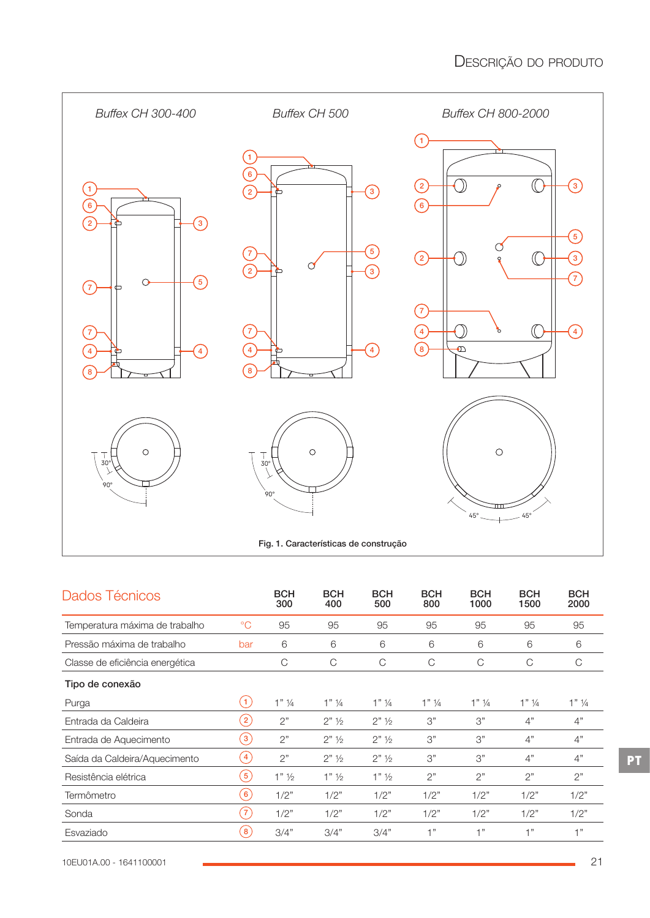

| Dados Técnicos                  |                | <b>BCH</b><br>300  | <b>BCH</b><br>400    | <b>BCH</b><br>500    | <b>BCH</b><br>800 | <b>BCH</b><br>1000 | <b>BCH</b><br>1500 | <b>BCH</b><br>2000 |
|---------------------------------|----------------|--------------------|----------------------|----------------------|-------------------|--------------------|--------------------|--------------------|
| Temperatura máxima de trabalho  | $^{\circ}C$    | 95                 | 95                   | 95                   | 95                | 95                 | 95                 | 95                 |
| Pressão máxima de trabalho      | bar            | 6                  | 6                    | 6                    | 6                 | 6                  | 6                  | 6                  |
| Classe de eficiência energética |                | C                  | C                    | C                    | C                 | C                  | C                  | C                  |
| Tipo de conexão                 |                |                    |                      |                      |                   |                    |                    |                    |
| Purga                           | (1)            | $1"$ $\frac{1}{4}$ | $1"$ 1/4             | $1"$ 1/4             | $1"$ 1/4          | $1"$ 1/4           | $1"$ $\frac{1}{4}$ | $1"$ ¼             |
| Entrada da Caldeira             | $\boxed{2}$    | 2"                 | $2"$ 1/ <sub>2</sub> | $2"$ 1/ <sub>2</sub> | 3"                | 3"                 | 4"                 | 4"                 |
| Entrada de Aquecimento          | $\sqrt{3}$     | 2"                 | $2"$ 1/ <sub>2</sub> | $2"$ 1/ <sub>2</sub> | 3"                | 3"                 | 4"                 | 4"                 |
| Saída da Caldeira/Aquecimento   | $\overline{4}$ | 2"                 | $2"$ 1/ <sub>2</sub> | $2"$ 1/ <sub>2</sub> | 3"                | 3"                 | 4"                 | 4"                 |
| Resistência elétrica            | $\boxed{5}$    | $1"$ $\frac{1}{2}$ | $1"$ $\frac{1}{2}$   | $1"$ $\frac{1}{2}$   | 2"                | 2"                 | 2"                 | 2"                 |
| Termômetro                      | $6^{\circ}$    | 1/2"               | 1/2"                 | 1/2"                 | 1/2"              | 1/2"               | 1/2"               | 1/2"               |
| Sonda                           | $7^{\circ}$    | 1/2"               | 1/2"                 | 1/2"                 | 1/2"              | 1/2"               | 1/2"               | 1/2"               |
| Esvaziado                       | $\sqrt{8}$     | 3/4"               | 3/4"                 | 3/4"                 | 1"                | 1"                 | 1"                 | 1"                 |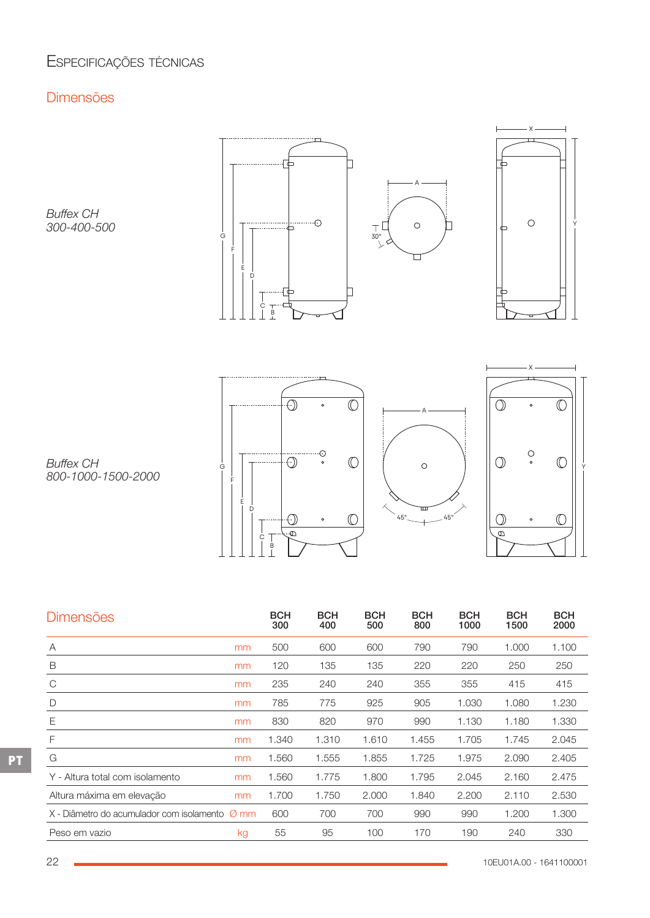# ESPECIFICAÇÕES TÉCNICAS

# Dimensões

*Buffex CH 300-400-500*



. . . . . . . . . <u>. . .</u>



 $\bigodot$ F E D  $\bigcirc$  $\circ$  $\overline{\Theta}$  $\epsilon$  $\begin{array}{c} \n\downarrow \\
B \\
\downarrow\n\end{array}$ 





*Buffex CH 800-1000-1500-2000*

| <b>Dimensões</b>                                             |    | <b>BCH</b><br>300 | <b>BCH</b><br>400 | <b>BCH</b><br>500 | <b>BCH</b><br>800 | <b>BCH</b><br>1000 | <b>BCH</b><br>1500 | <b>BCH</b><br>2000 |
|--------------------------------------------------------------|----|-------------------|-------------------|-------------------|-------------------|--------------------|--------------------|--------------------|
| A                                                            | mm | 500               | 600               | 600               | 790               | 790                | 1.000              | 1.100              |
| B                                                            | mm | 120               | 135               | 135               | 220               | 220                | 250                | 250                |
| C                                                            | mm | 235               | 240               | 240               | 355               | 355                | 415                | 415                |
| D                                                            | mm | 785               | 775               | 925               | 905               | 1.030              | 1.080              | 1.230              |
| Ε                                                            | mm | 830               | 820               | 970               | 990               | 1.130              | 1.180              | 1.330              |
| F                                                            | mm | 1.340             | 1.310             | 1.610             | 1.455             | 1.705              | 1.745              | 2.045              |
| G                                                            | mm | 1.560             | 1.555             | 1.855             | 1.725             | 1.975              | 2.090              | 2.405              |
| Y - Altura total com isolamento                              | mm | 1.560             | 1.775             | 1.800             | 1.795             | 2.045              | 2.160              | 2.475              |
| Altura máxima em elevação                                    | mm | 1.700             | 1.750             | 2.000             | 1.840             | 2.200              | 2.110              | 2.530              |
| $X$ - Diâmetro do acumulador com isolamento $\varnothing$ mm |    | 600               | 700               | 700               | 990               | 990                | 1.200              | 1.300              |
| Peso em vazio                                                | kg | 55                | 95                | 100               | 170               | 190                | 240                | 330                |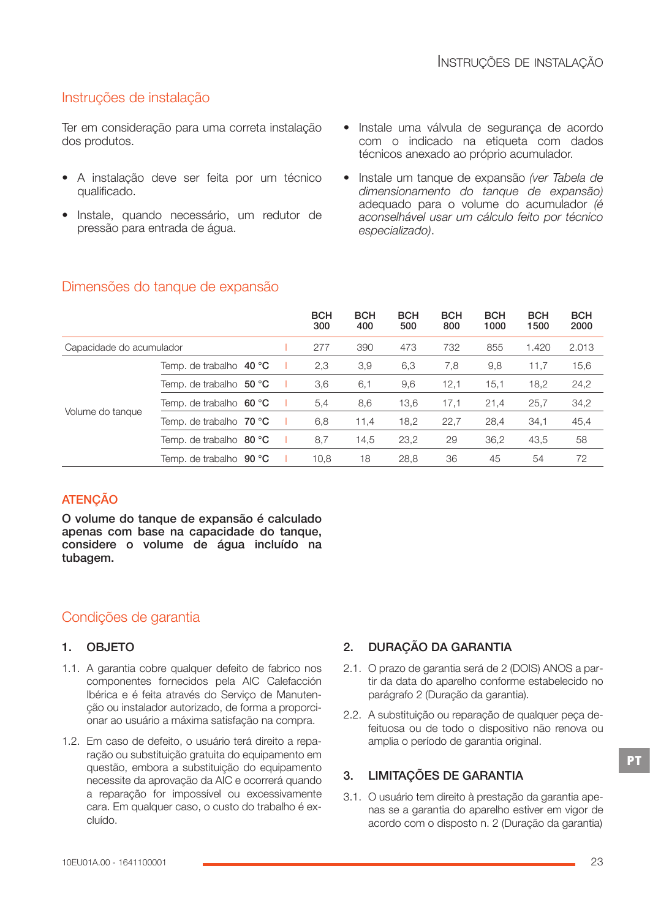## Instruções de instalação

Ter em consideração para uma correta instalação dos produtos.

- A instalação deve ser feita por um técnico qualificado.
- Instale, quando necessário, um redutor de pressão para entrada de água.
- Instale uma válvula de segurança de acordo com o indicado na etiqueta com dados técnicos anexado ao próprio acumulador.
- Instale um tanque de expansão *(ver Tabela de dimensionamento do tanque de expansão)* adequado para o volume do acumulador *(é aconselhável usar um cálculo feito por técnico especializado)*.

|                          |                              | <b>BCH</b><br>300 | <b>BCH</b><br>400 | <b>BCH</b><br>500 | <b>BCH</b><br>800 | <b>BCH</b><br>1000 | <b>BCH</b><br>1500 | <b>BCH</b><br>2000 |
|--------------------------|------------------------------|-------------------|-------------------|-------------------|-------------------|--------------------|--------------------|--------------------|
| Capacidade do acumulador |                              | 277               | 390               | 473               | 732               | 855                | 1.420              | 2.013              |
|                          | Temp. de trabalho $\,$ 40 °C | 2,3               | 3,9               | 6,3               | 7,8               | 9,8                | 11,7               | 15,6               |
|                          | Temp. de trabalho $50 °C$    | 3,6               | 6,1               | 9,6               | 12,1              | 15,1               | 18,2               | 24,2               |
|                          | Temp. de trabalho $60 °C$    | 5,4               | 8,6               | 13,6              | 17,1              | 21,4               | 25,7               | 34,2               |
| Volume do tanque         | Temp. de trabalho $70 °C$    | 6,8               | 11,4              | 18,2              | 22,7              | 28,4               | 34,1               | 45,4               |
|                          | Temp. de trabalho $80 °C$    | 8,7               | 14,5              | 23,2              | 29                | 36,2               | 43,5               | 58                 |
|                          | Temp. de trabalho $90 °C$    | 10,8              | 18                | 28,8              | 36                | 45                 | 54                 | 72                 |

## Dimensões do tanque de expansão

## **ATENÇÃO**

O volume do tanque de expansão é calculado apenas com base na capacidade do tanque, considere o volume de água incluído na tubagem.

## Condições de garantia

## 1. OBJETO

- 1.1. A garantia cobre qualquer defeito de fabrico nos componentes fornecidos pela AIC Calefacción Ibérica e é feita através do Serviço de Manuten‐ ção ou instalador autorizado, de forma a proporci‐ onar ao usuário a máxima satisfação na compra.
- 1.2. Em caso de defeito, o usuário terá direito a repa‐ ração ou substituição gratuita do equipamento em questão, embora a substituição do equipamento necessite da aprovação da AIC e ocorrerá quando a reparação for impossível ou excessivamente cara. Em qualquer caso, o custo do trabalho é ex‐ cluído.

## 2. DURAÇÃO DA GARANTIA

- 2.1. O prazo de garantia será de 2 (DOIS) ANOS a par‐ tir da data do aparelho conforme estabelecido no parágrafo 2 (Duração da garantia).
- 2.2. A substituição ou reparação de qualquer peça de‐ feituosa ou de todo o dispositivo não renova ou amplia o período de garantia original.

## 3. LIMITAÇÕES DE GARANTIA

3.1. O usuário tem direito à prestação da garantia ape‐ nas se a garantia do aparelho estiver em vigor de acordo com o disposto n. 2 (Duração da garantia)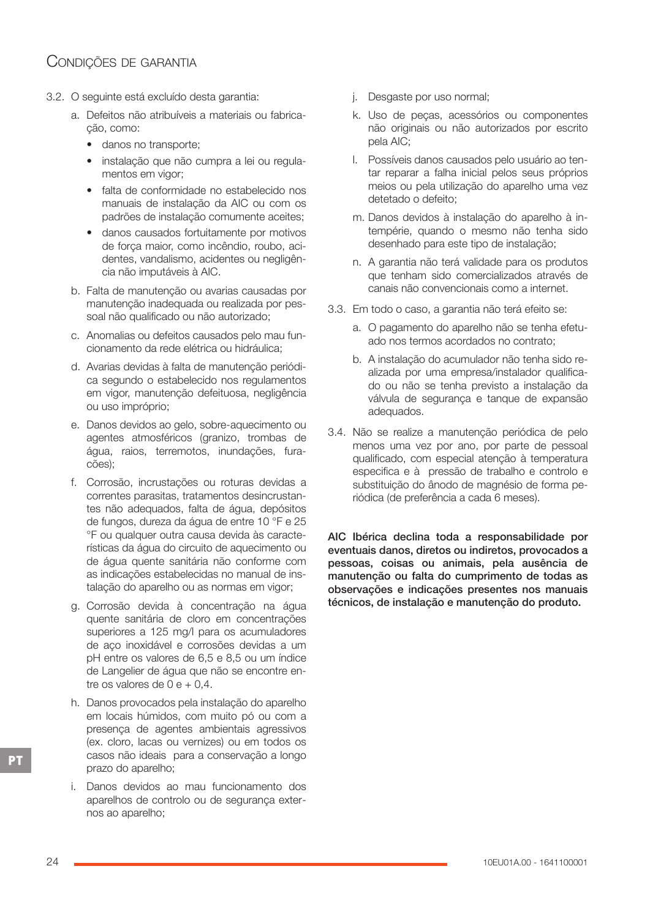# CONDIÇÕES DE GARANTIA

- 3.2. O seguinte está excluído desta garantia:
	- a. Defeitos não atribuíveis a materiais ou fabrica‐ ção, como:
		- danos no transporte:
		- instalação que não cumpra a lei ou regula‐ mentos em vigor;
		- falta de conformidade no estabelecido nos manuais de instalação da AIC ou com os padrões de instalação comumente aceites;
		- danos causados fortuitamente por motivos de força maior, como incêndio, roubo, aci‐ dentes, vandalismo, acidentes ou negligên‐ cia não imputáveis à AIC.
	- b. Falta de manutenção ou avarias causadas por manutenção inadequada ou realizada por pes‐ soal não qualificado ou não autorizado;
	- c. Anomalias ou defeitos causados pelo mau fun‐ cionamento da rede elétrica ou hidráulica;
	- d. Avarias devidas à falta de manutenção periódi‐ ca segundo o estabelecido nos regulamentos em vigor, manutenção defeituosa, negligência ou uso impróprio;
	- e. Danos devidos ao gelo, sobre-aquecimento ou agentes atmosféricos (granizo, trombas de água, raios, terremotos, inundações, fura‐ cões);
	- f. Corrosão, incrustações ou roturas devidas a correntes parasitas, tratamentos desincrustan‐ tes não adequados, falta de água, depósitos de fungos, dureza da água de entre 10 °F e 25 °F ou qualquer outra causa devida às caracte‐ rísticas da água do circuito de aquecimento ou de água quente sanitária não conforme com as indicações estabelecidas no manual de ins‐ talação do aparelho ou as normas em vigor;
	- g. Corrosão devida à concentração na água quente sanitária de cloro em concentrações superiores a 125 mg/l para os acumuladores de aço inoxidável e corrosões devidas a um pH entre os valores de 6,5 e 8,5 ou um índice de Langelier de água que não se encontre en‐ tre os valores de  $0 e + 0.4$ .
	- h. Danos provocados pela instalação do aparelho em locais húmidos, com muito pó ou com a presença de agentes ambientais agressivos (ex. cloro, lacas ou vernizes) ou em todos os casos não ideais para a conservação a longo prazo do aparelho;
	- i. Danos devidos ao mau funcionamento dos aparelhos de controlo ou de segurança exter‐ nos ao aparelho;
- j. Desgaste por uso normal;
- k. Uso de peças, acessórios ou componentes não originais ou não autorizados por escrito pela AIC;
- l. Possíveis danos causados pelo usuário ao ten‐ tar reparar a falha inicial pelos seus próprios meios ou pela utilização do aparelho uma vez detetado o defeito;
- m. Danos devidos à instalação do aparelho à in‐ tempérie, quando o mesmo não tenha sido desenhado para este tipo de instalação;
- n. A garantia não terá validade para os produtos que tenham sido comercializados através de canais não convencionais como a internet.
- 3.3. Em todo o caso, a garantia não terá efeito se:
	- a. O pagamento do aparelho não se tenha efetu‐ ado nos termos acordados no contrato;
	- b. A instalação do acumulador não tenha sido re‐ alizada por uma empresa/instalador qualifica‐ do ou não se tenha previsto a instalação da válvula de segurança e tanque de expansão adequados.
- 3.4. Não se realize a manutenção periódica de pelo menos uma vez por ano, por parte de pessoal qualificado, com especial atenção à temperatura especifica e à pressão de trabalho e controlo e substituição do ânodo de magnésio de forma pe‐ riódica (de preferência a cada 6 meses).

AIC Ibérica declina toda a responsabilidade por eventuais danos, diretos ou indiretos, provocados a pessoas, coisas ou animais, pela ausência de manutenção ou falta do cumprimento de todas as observações e indicações presentes nos manuais técnicos, de instalação e manutenção do produto.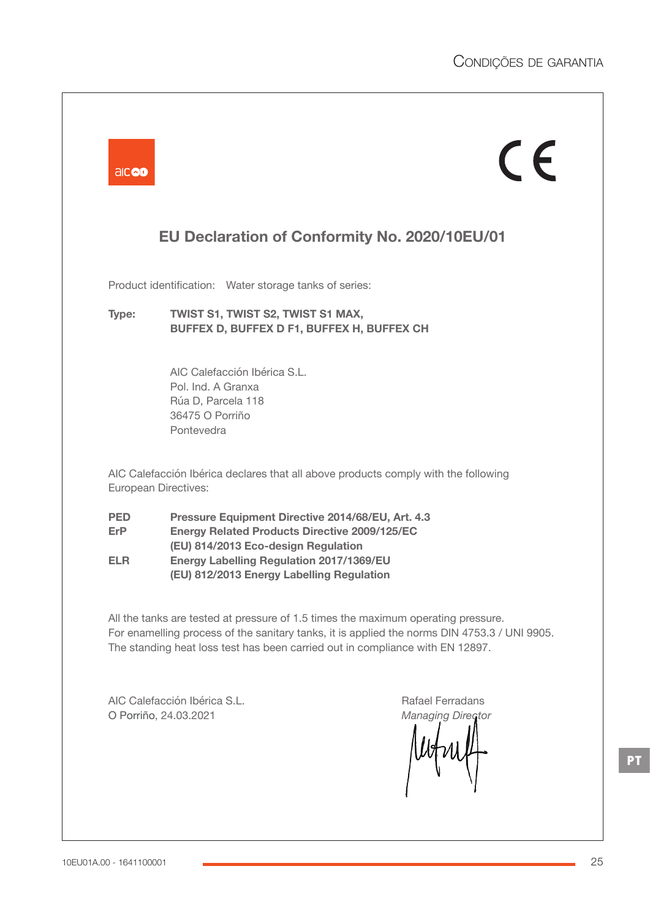| aicod                      |                                                                                                                                                                                                                                                  | $\epsilon$                                                                                                                                                                                                                                                         |
|----------------------------|--------------------------------------------------------------------------------------------------------------------------------------------------------------------------------------------------------------------------------------------------|--------------------------------------------------------------------------------------------------------------------------------------------------------------------------------------------------------------------------------------------------------------------|
|                            |                                                                                                                                                                                                                                                  | EU Declaration of Conformity No. 2020/10EU/01                                                                                                                                                                                                                      |
|                            | Product identification: Water storage tanks of series:                                                                                                                                                                                           |                                                                                                                                                                                                                                                                    |
| Type:                      | TWIST S1, TWIST S2, TWIST S1 MAX,<br>BUFFEX D, BUFFEX D F1, BUFFEX H, BUFFEX CH                                                                                                                                                                  |                                                                                                                                                                                                                                                                    |
|                            | AIC Calefacción Ibérica S.L.<br>Pol. Ind. A Granxa<br>Rúa D, Parcela 118<br>36475 O Porriño<br>Pontevedra                                                                                                                                        |                                                                                                                                                                                                                                                                    |
|                            | European Directives:                                                                                                                                                                                                                             | AIC Calefacción Ibérica declares that all above products comply with the following                                                                                                                                                                                 |
| <b>PED</b><br>ErP.<br>ELR. | Pressure Equipment Directive 2014/68/EU, Art. 4.3<br><b>Energy Related Products Directive 2009/125/EC</b><br>(EU) 814/2013 Eco-design Regulation<br><b>Energy Labelling Regulation 2017/1369/EU</b><br>(EU) 812/2013 Energy Labelling Regulation |                                                                                                                                                                                                                                                                    |
|                            |                                                                                                                                                                                                                                                  | All the tanks are tested at pressure of 1.5 times the maximum operating pressure.<br>For enamelling process of the sanitary tanks, it is applied the norms DIN 4753.3 / UNI 9905.<br>The standing heat loss test has been carried out in compliance with EN 12897. |
|                            | AIC Calefacción Ibérica S.L.<br>O Porriño, 24.03.2021                                                                                                                                                                                            | Rafael Ferradans<br><b>Managing Director</b>                                                                                                                                                                                                                       |

**PT**

 $\overline{\phantom{a}}$ 

u.